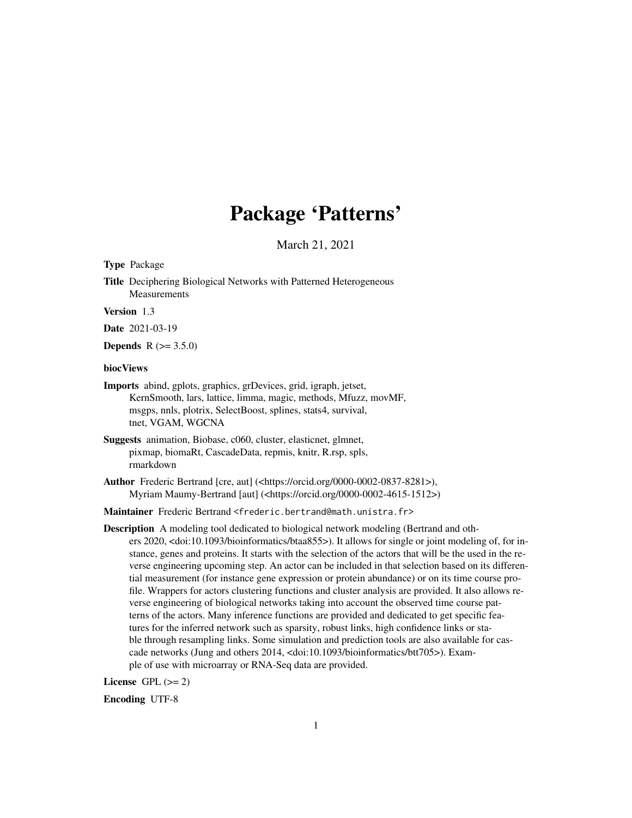# Package 'Patterns'

March 21, 2021

Type Package

Title Deciphering Biological Networks with Patterned Heterogeneous Measurements

Version 1.3

Date 2021-03-19

**Depends** R  $(>= 3.5.0)$ 

#### biocViews

Imports abind, gplots, graphics, grDevices, grid, igraph, jetset, KernSmooth, lars, lattice, limma, magic, methods, Mfuzz, movMF, msgps, nnls, plotrix, SelectBoost, splines, stats4, survival, tnet, VGAM, WGCNA

- Suggests animation, Biobase, c060, cluster, elasticnet, glmnet, pixmap, biomaRt, CascadeData, repmis, knitr, R.rsp, spls, rmarkdown
- Author Frederic Bertrand [cre, aut] (<https://orcid.org/0000-0002-0837-8281>), Myriam Maumy-Bertrand [aut] (<https://orcid.org/0000-0002-4615-1512>)

Maintainer Frederic Bertrand <frederic.bertrand@math.unistra.fr>

Description A modeling tool dedicated to biological network modeling (Bertrand and others 2020, <doi:10.1093/bioinformatics/btaa855>). It allows for single or joint modeling of, for instance, genes and proteins. It starts with the selection of the actors that will be the used in the reverse engineering upcoming step. An actor can be included in that selection based on its differential measurement (for instance gene expression or protein abundance) or on its time course profile. Wrappers for actors clustering functions and cluster analysis are provided. It also allows reverse engineering of biological networks taking into account the observed time course patterns of the actors. Many inference functions are provided and dedicated to get specific features for the inferred network such as sparsity, robust links, high confidence links or stable through resampling links. Some simulation and prediction tools are also available for cascade networks (Jung and others 2014, <doi:10.1093/bioinformatics/btt705>). Example of use with microarray or RNA-Seq data are provided.

License GPL  $(>= 2)$ 

Encoding UTF-8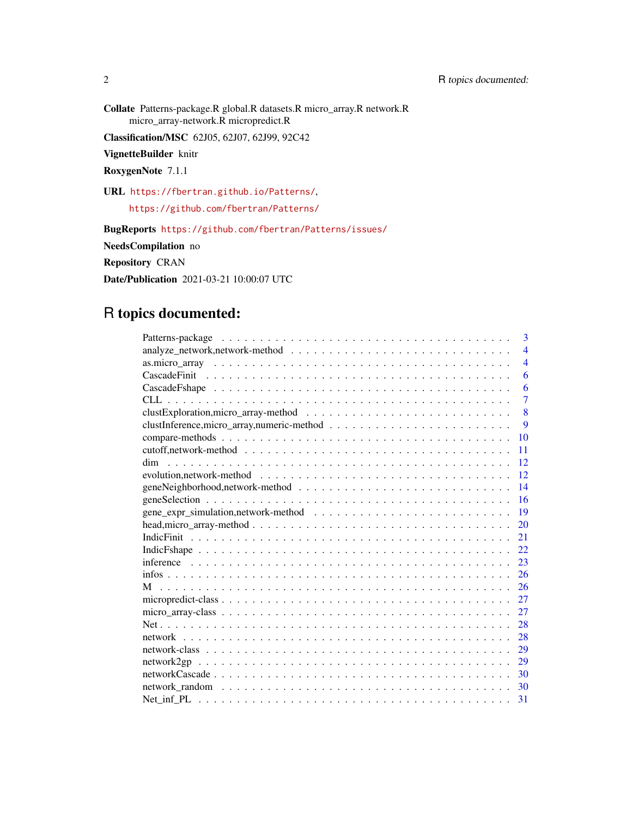Collate Patterns-package.R global.R datasets.R micro\_array.R network.R micro\_array-network.R micropredict.R

Classification/MSC 62J05, 62J07, 62J99, 92C42

VignetteBuilder knitr

RoxygenNote 7.1.1

URL <https://fbertran.github.io/Patterns/>, <https://github.com/fbertran/Patterns/>

BugReports <https://github.com/fbertran/Patterns/issues/> NeedsCompilation no Repository CRAN Date/Publication 2021-03-21 10:00:07 UTC

# R topics documented:

| 3              |
|----------------|
| $\overline{4}$ |
| $\overline{4}$ |
| 6              |
| 6              |
| $\overline{7}$ |
| 8              |
| 9              |
| 10             |
| 11             |
| 12<br>dim      |
| 12             |
| 14             |
| 16             |
| 19             |
| 20             |
| 21             |
| 22             |
| 23             |
| 26             |
| 26             |
| 27             |
| 27             |
| 28             |
| 28             |
| 29             |
| 29             |
| 30             |
| 30             |
| 31             |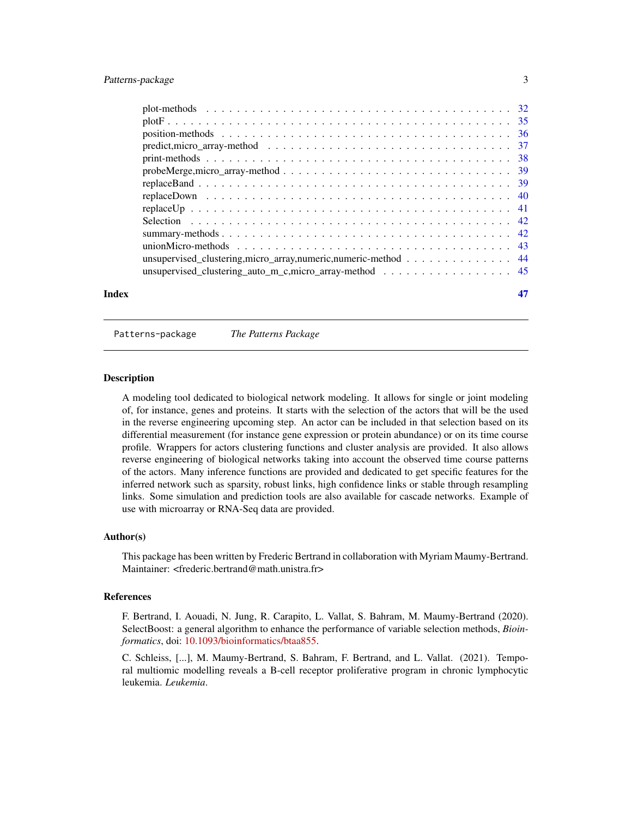# <span id="page-2-0"></span>Patterns-package 3

| Index |                                                                                                                          |  |
|-------|--------------------------------------------------------------------------------------------------------------------------|--|
|       | unsupervised clustering_auto_m_c,micro_array-method 45                                                                   |  |
|       | unsupervised_clustering,micro_array,numeric,numeric-method 44                                                            |  |
|       |                                                                                                                          |  |
|       |                                                                                                                          |  |
|       |                                                                                                                          |  |
|       |                                                                                                                          |  |
|       |                                                                                                                          |  |
|       |                                                                                                                          |  |
|       |                                                                                                                          |  |
|       |                                                                                                                          |  |
|       | predict, micro_array-method $\ldots \ldots \ldots \ldots \ldots \ldots \ldots \ldots \ldots \ldots \ldots \ldots \ldots$ |  |
|       |                                                                                                                          |  |
|       |                                                                                                                          |  |
|       |                                                                                                                          |  |

Patterns-package *The Patterns Package*

#### Description

A modeling tool dedicated to biological network modeling. It allows for single or joint modeling of, for instance, genes and proteins. It starts with the selection of the actors that will be the used in the reverse engineering upcoming step. An actor can be included in that selection based on its differential measurement (for instance gene expression or protein abundance) or on its time course profile. Wrappers for actors clustering functions and cluster analysis are provided. It also allows reverse engineering of biological networks taking into account the observed time course patterns of the actors. Many inference functions are provided and dedicated to get specific features for the inferred network such as sparsity, robust links, high confidence links or stable through resampling links. Some simulation and prediction tools are also available for cascade networks. Example of use with microarray or RNA-Seq data are provided.

#### Author(s)

This package has been written by Frederic Bertrand in collaboration with Myriam Maumy-Bertrand. Maintainer: <frederic.bertrand@math.unistra.fr>

#### References

F. Bertrand, I. Aouadi, N. Jung, R. Carapito, L. Vallat, S. Bahram, M. Maumy-Bertrand (2020). SelectBoost: a general algorithm to enhance the performance of variable selection methods, *Bioinformatics*, doi: [10.1093/bioinformatics/btaa855.](https://doi.org/10.1093/bioinformatics/btaa855)

C. Schleiss, [...], M. Maumy-Bertrand, S. Bahram, F. Bertrand, and L. Vallat. (2021). Temporal multiomic modelling reveals a B-cell receptor proliferative program in chronic lymphocytic leukemia. *Leukemia*.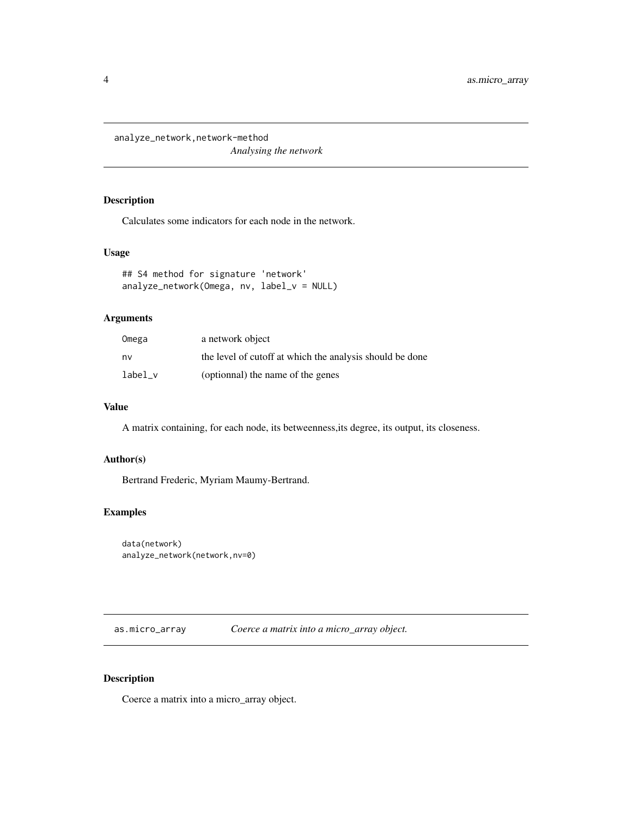<span id="page-3-0"></span>analyze\_network,network-method *Analysing the network*

# Description

Calculates some indicators for each node in the network.

# Usage

```
## S4 method for signature 'network'
analyze_network(Omega, nv, label_v = NULL)
```
# Arguments

| Omega   | a network object                                         |
|---------|----------------------------------------------------------|
| nv      | the level of cutoff at which the analysis should be done |
| label v | (optionnal) the name of the genes                        |

#### Value

A matrix containing, for each node, its betweenness,its degree, its output, its closeness.

#### Author(s)

Bertrand Frederic, Myriam Maumy-Bertrand.

# Examples

```
data(network)
analyze_network(network,nv=0)
```
as.micro\_array *Coerce a matrix into a micro\_array object.*

#### Description

Coerce a matrix into a micro\_array object.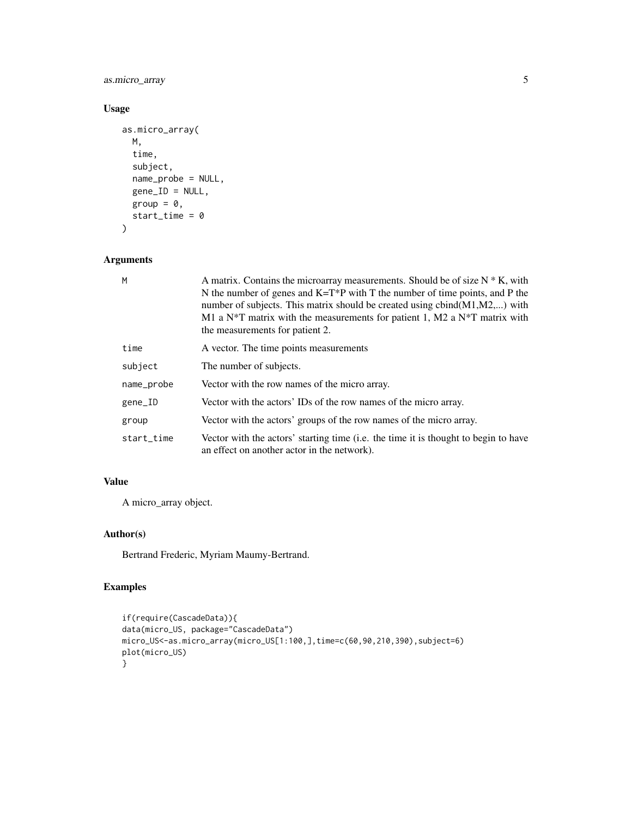as.micro\_array 5

# Usage

```
as.micro_array(
 M,
 time,
 subject,
 name_probe = NULL,
 gene_ID = NULL,
 group = 0,start_time = 0
)
```
# Arguments

| M          | A matrix. Contains the microarray measurements. Should be of size $N * K$ , with<br>N the number of genes and $K=T^*P$ with T the number of time points, and P the<br>number of subjects. This matrix should be created using $cbind(M1,M2,)$ with<br>M1 a N*T matrix with the measurements for patient 1, M2 a N*T matrix with<br>the measurements for patient 2. |
|------------|--------------------------------------------------------------------------------------------------------------------------------------------------------------------------------------------------------------------------------------------------------------------------------------------------------------------------------------------------------------------|
| time       | A vector. The time points measurements                                                                                                                                                                                                                                                                                                                             |
| subject    | The number of subjects.                                                                                                                                                                                                                                                                                                                                            |
| name_probe | Vector with the row names of the micro array.                                                                                                                                                                                                                                                                                                                      |
| gene_ID    | Vector with the actors' IDs of the row names of the micro array.                                                                                                                                                                                                                                                                                                   |
| group      | Vector with the actors' groups of the row names of the micro array.                                                                                                                                                                                                                                                                                                |
| start_time | Vector with the actors' starting time (i.e. the time it is thought to begin to have<br>an effect on another actor in the network).                                                                                                                                                                                                                                 |

# Value

A micro\_array object.

# Author(s)

Bertrand Frederic, Myriam Maumy-Bertrand.

```
if(require(CascadeData)){
data(micro_US, package="CascadeData")
micro_US<-as.micro_array(micro_US[1:100,],time=c(60,90,210,390),subject=6)
plot(micro_US)
}
```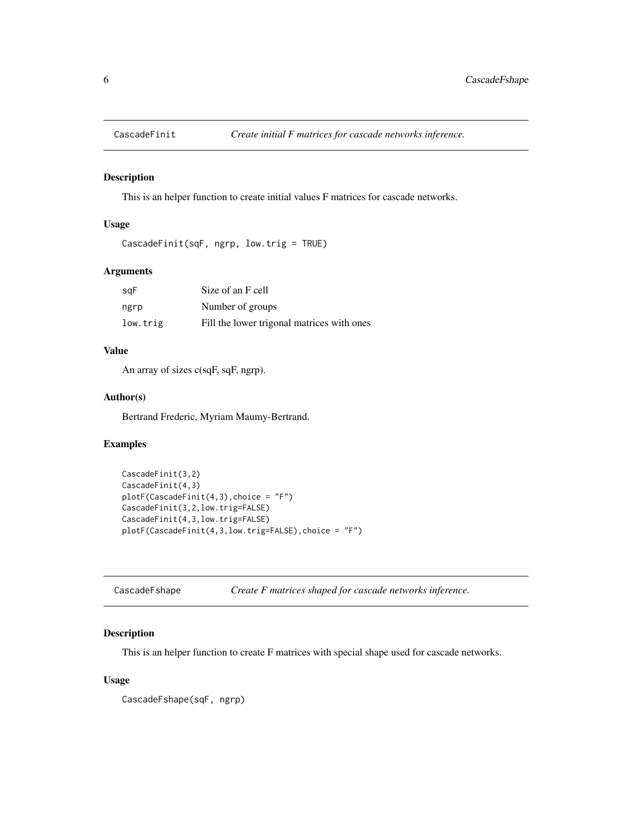<span id="page-5-0"></span>

#### Description

This is an helper function to create initial values F matrices for cascade networks.

# Usage

```
CascadeFinit(sqF, ngrp, low.trig = TRUE)
```
# Arguments

| sqF      | Size of an F cell                          |
|----------|--------------------------------------------|
| ngrp     | Number of groups                           |
| low.trig | Fill the lower trigonal matrices with ones |

#### Value

An array of sizes c(sqF, sqF, ngrp).

# Author(s)

Bertrand Frederic, Myriam Maumy-Bertrand.

# Examples

```
CascadeFinit(3,2)
CascadeFinit(4,3)
plotF(CascadeFinit(4,3),choice = "F")
CascadeFinit(3,2,low.trig=FALSE)
CascadeFinit(4,3,low.trig=FALSE)
plotF(CascadeFinit(4,3,low.trig=FALSE),choice = "F")
```

| CascadeFshape |  |  | Create F matrices shaped for cascade networks inference. |
|---------------|--|--|----------------------------------------------------------|
|---------------|--|--|----------------------------------------------------------|

# Description

This is an helper function to create F matrices with special shape used for cascade networks.

# Usage

CascadeFshape(sqF, ngrp)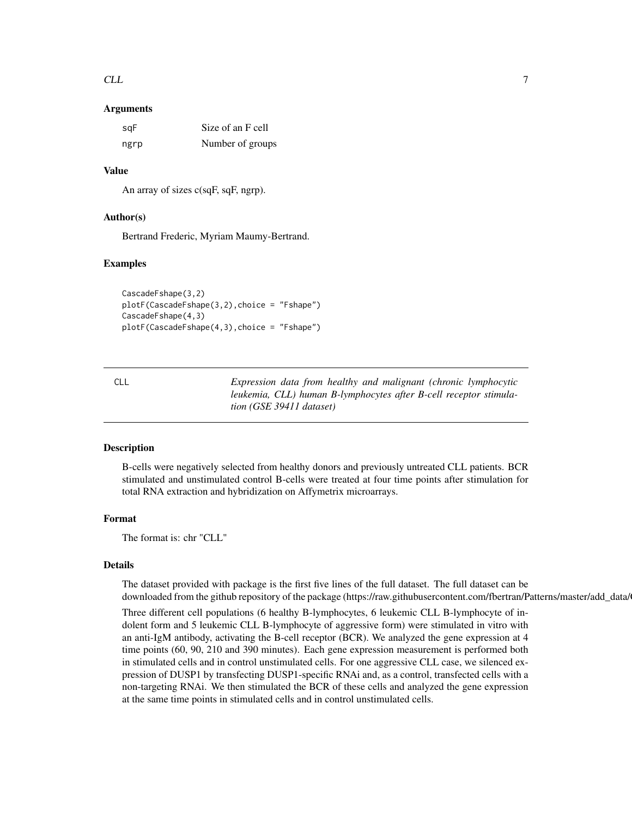#### <span id="page-6-0"></span> $CLL$   $7$

#### Arguments

| sqF  | Size of an F cell |
|------|-------------------|
| ngrp | Number of groups  |

#### Value

An array of sizes c(sqF, sqF, ngrp).

#### Author(s)

Bertrand Frederic, Myriam Maumy-Bertrand.

#### Examples

```
CascadeFshape(3,2)
plotF(CascadeFshape(3,2),choice = "Fshape")
CascadeFshape(4,3)
plotF(CascadeFshape(4,3),choice = "Fshape")
```
CLL *Expression data from healthy and malignant (chronic lymphocytic leukemia, CLL) human B-lymphocytes after B-cell receptor stimulation (GSE 39411 dataset)*

### Description

B-cells were negatively selected from healthy donors and previously untreated CLL patients. BCR stimulated and unstimulated control B-cells were treated at four time points after stimulation for total RNA extraction and hybridization on Affymetrix microarrays.

#### Format

The format is: chr "CLL"

# **Details**

The dataset provided with package is the first five lines of the full dataset. The full dataset can be downloaded from the github repository of the package (https://raw.githubusercontent.com/fbertran/Patterns/master/add\_data/

Three different cell populations (6 healthy B-lymphocytes, 6 leukemic CLL B-lymphocyte of indolent form and 5 leukemic CLL B-lymphocyte of aggressive form) were stimulated in vitro with an anti-IgM antibody, activating the B-cell receptor (BCR). We analyzed the gene expression at 4 time points (60, 90, 210 and 390 minutes). Each gene expression measurement is performed both in stimulated cells and in control unstimulated cells. For one aggressive CLL case, we silenced expression of DUSP1 by transfecting DUSP1-specific RNAi and, as a control, transfected cells with a non-targeting RNAi. We then stimulated the BCR of these cells and analyzed the gene expression at the same time points in stimulated cells and in control unstimulated cells.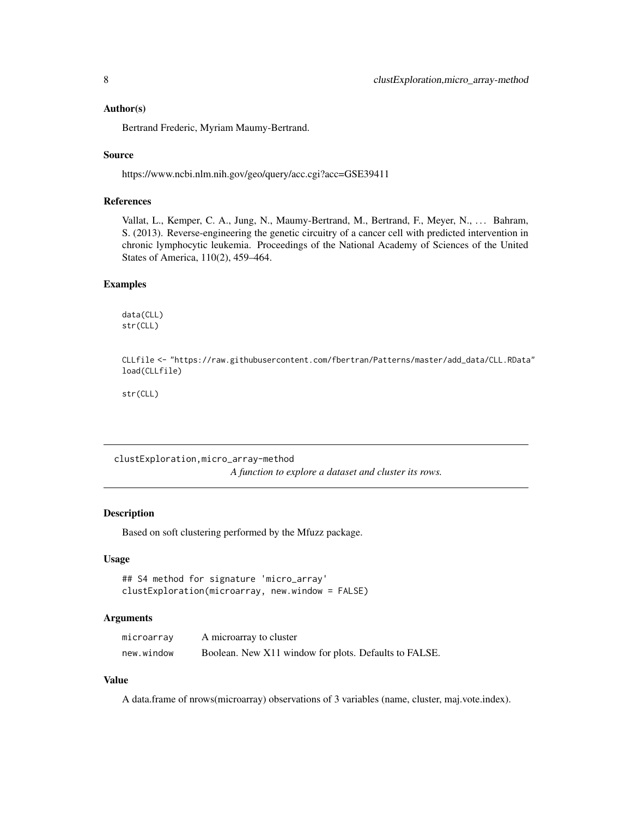#### <span id="page-7-0"></span>Author(s)

Bertrand Frederic, Myriam Maumy-Bertrand.

#### Source

https://www.ncbi.nlm.nih.gov/geo/query/acc.cgi?acc=GSE39411

#### References

Vallat, L., Kemper, C. A., Jung, N., Maumy-Bertrand, M., Bertrand, F., Meyer, N., . . . Bahram, S. (2013). Reverse-engineering the genetic circuitry of a cancer cell with predicted intervention in chronic lymphocytic leukemia. Proceedings of the National Academy of Sciences of the United States of America, 110(2), 459–464.

#### Examples

data(CLL) str(CLL)

CLLfile <- "https://raw.githubusercontent.com/fbertran/Patterns/master/add\_data/CLL.RData" load(CLLfile)

str(CLL)

clustExploration,micro\_array-method

*A function to explore a dataset and cluster its rows.*

# Description

Based on soft clustering performed by the Mfuzz package.

#### Usage

```
## S4 method for signature 'micro_array'
clustExploration(microarray, new.window = FALSE)
```
#### Arguments

| microarray | A microarray to cluster                               |
|------------|-------------------------------------------------------|
| new.window | Boolean. New X11 window for plots. Defaults to FALSE. |

#### Value

A data.frame of nrows(microarray) observations of 3 variables (name, cluster, maj.vote.index).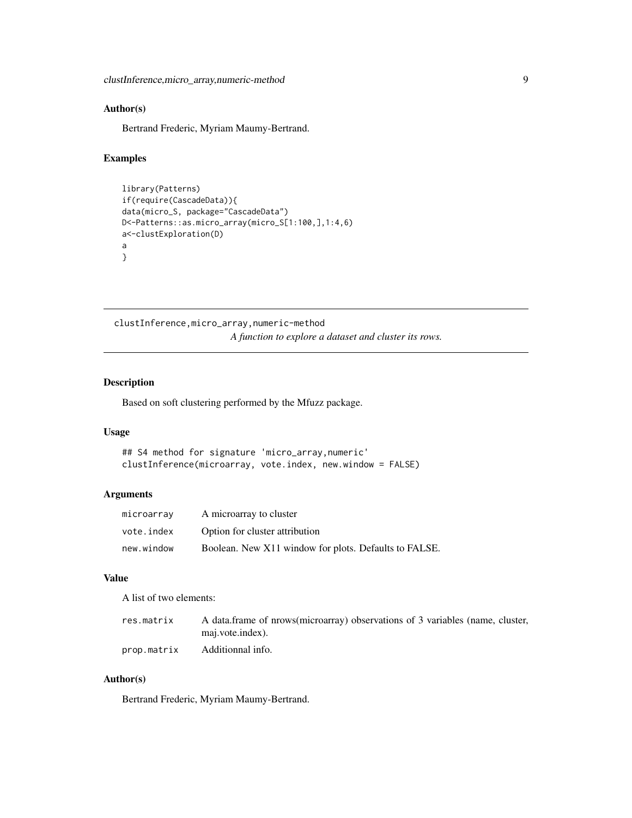# <span id="page-8-0"></span>Author(s)

Bertrand Frederic, Myriam Maumy-Bertrand.

#### Examples

```
library(Patterns)
if(require(CascadeData)){
data(micro_S, package="CascadeData")
D<-Patterns::as.micro_array(micro_S[1:100,],1:4,6)
a<-clustExploration(D)
a
}
```
clustInference,micro\_array,numeric-method *A function to explore a dataset and cluster its rows.*

#### Description

Based on soft clustering performed by the Mfuzz package.

#### Usage

```
## S4 method for signature 'micro_array,numeric'
clustInference(microarray, vote.index, new.window = FALSE)
```
# Arguments

| microarray | A microarray to cluster                               |
|------------|-------------------------------------------------------|
| vote.index | Option for cluster attribution                        |
| new.window | Boolean. New X11 window for plots. Defaults to FALSE. |

#### Value

A list of two elements:

| res.matrix  | A data frame of nrows (microarray) observations of 3 variables (name, cluster, |
|-------------|--------------------------------------------------------------------------------|
|             | maj.vote.index).                                                               |
| prop.matrix | Additionnal info.                                                              |

#### Author(s)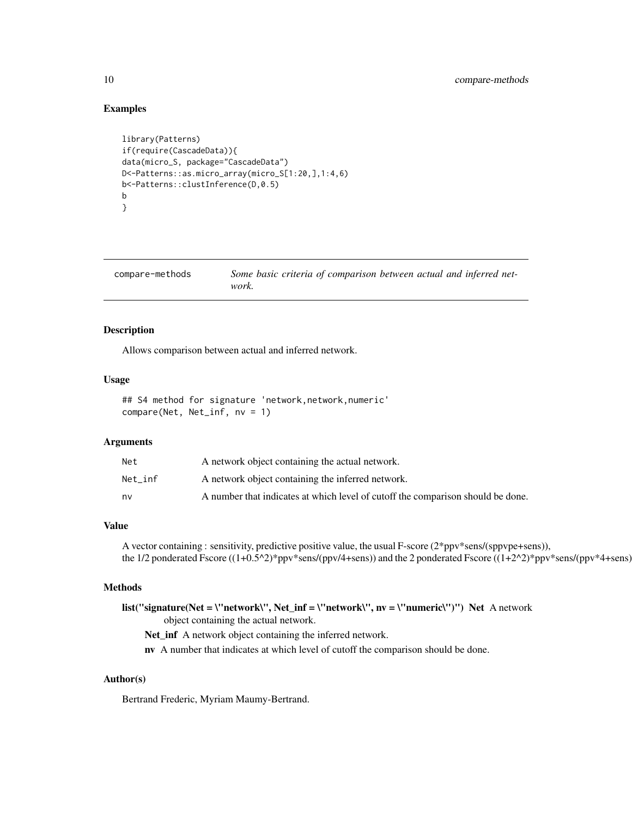#### Examples

```
library(Patterns)
if(require(CascadeData)){
data(micro_S, package="CascadeData")
D<-Patterns::as.micro_array(micro_S[1:20,],1:4,6)
b<-Patterns::clustInference(D,0.5)
b
}
```

| compare-methods | Some basic criteria of comparison between actual and inferred net- |
|-----------------|--------------------------------------------------------------------|
|                 | work.                                                              |

# Description

Allows comparison between actual and inferred network.

# Usage

```
## S4 method for signature 'network,network,numeric'
compare(Net, Net_inf, nv = 1)
```
#### Arguments

| Net     | A network object containing the actual network.                                 |
|---------|---------------------------------------------------------------------------------|
| Net inf | A network object containing the inferred network.                               |
| nv      | A number that indicates at which level of cutoff the comparison should be done. |

#### Value

A vector containing : sensitivity, predictive positive value, the usual F-score (2\*ppv\*sens/(sppvpe+sens)), the 1/2 ponderated Fscore ((1+0.5^2)\*ppv\*sens/(ppv/4+sens)) and the 2 ponderated Fscore ((1+2^2)\*ppv\*sens/(ppv\*4+sens)

### Methods

list("signature(Net = \"network\", Net\_inf = \"network\", nv = \"numeric\")") Net A network object containing the actual network. Net\_inf A network object containing the inferred network.

nv A number that indicates at which level of cutoff the comparison should be done.

#### Author(s)

<span id="page-9-0"></span>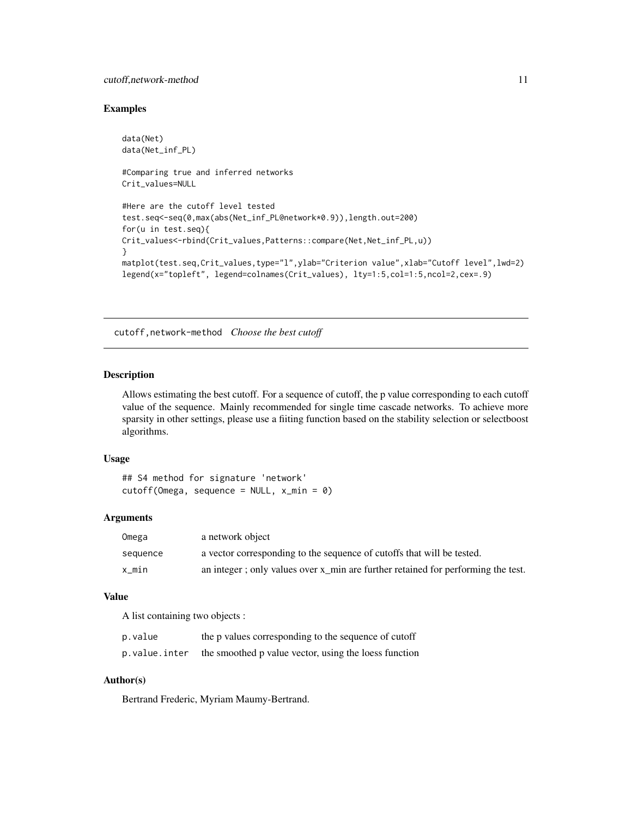#### <span id="page-10-0"></span>cutoff,network-method 11

#### Examples

```
data(Net)
data(Net_inf_PL)
#Comparing true and inferred networks
Crit_values=NULL
#Here are the cutoff level tested
test.seq<-seq(0,max(abs(Net_inf_PL@network*0.9)),length.out=200)
for(u in test.seq){
Crit_values<-rbind(Crit_values,Patterns::compare(Net,Net_inf_PL,u))
}
matplot(test.seq,Crit_values,type="l",ylab="Criterion value",xlab="Cutoff level",lwd=2)
legend(x="topleft", legend=colnames(Crit_values), lty=1:5,col=1:5,ncol=2,cex=.9)
```
cutoff,network-method *Choose the best cutoff*

#### Description

Allows estimating the best cutoff. For a sequence of cutoff, the p value corresponding to each cutoff value of the sequence. Mainly recommended for single time cascade networks. To achieve more sparsity in other settings, please use a fiiting function based on the stability selection or selectboost algorithms.

# Usage

```
## S4 method for signature 'network'
cutoff(Omega, sequence = NULL, x=min = 0)
```
#### Arguments

| Omega    | a network object                                                                 |
|----------|----------------------------------------------------------------------------------|
| sequence | a vector corresponding to the sequence of cutoffs that will be tested.           |
| x min    | an integer; only values over x_min are further retained for performing the test. |

# Value

A list containing two objects :

| p.value       | the p values corresponding to the sequence of cutoff  |
|---------------|-------------------------------------------------------|
| p.value.inter | the smoothed p value vector, using the loess function |

#### Author(s)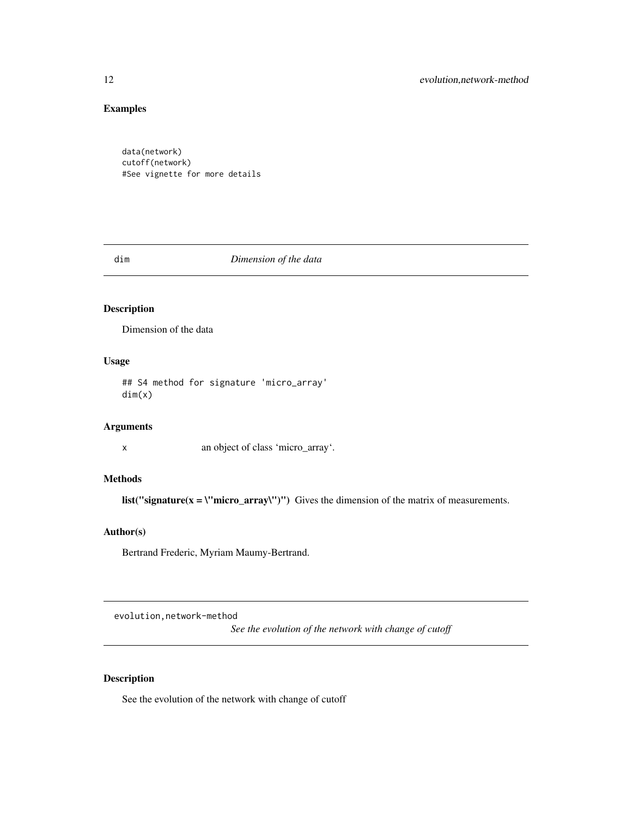# <span id="page-11-0"></span>Examples

data(network) cutoff(network) #See vignette for more details

#### dim *Dimension of the data*

# Description

Dimension of the data

# Usage

## S4 method for signature 'micro\_array' dim(x)

# Arguments

x an object of class 'micro\_array'.

# Methods

list("signature( $x = \lvert "micro_array'\rvert"$ )") Gives the dimension of the matrix of measurements.

#### Author(s)

Bertrand Frederic, Myriam Maumy-Bertrand.

evolution,network-method

*See the evolution of the network with change of cutoff*

# Description

See the evolution of the network with change of cutoff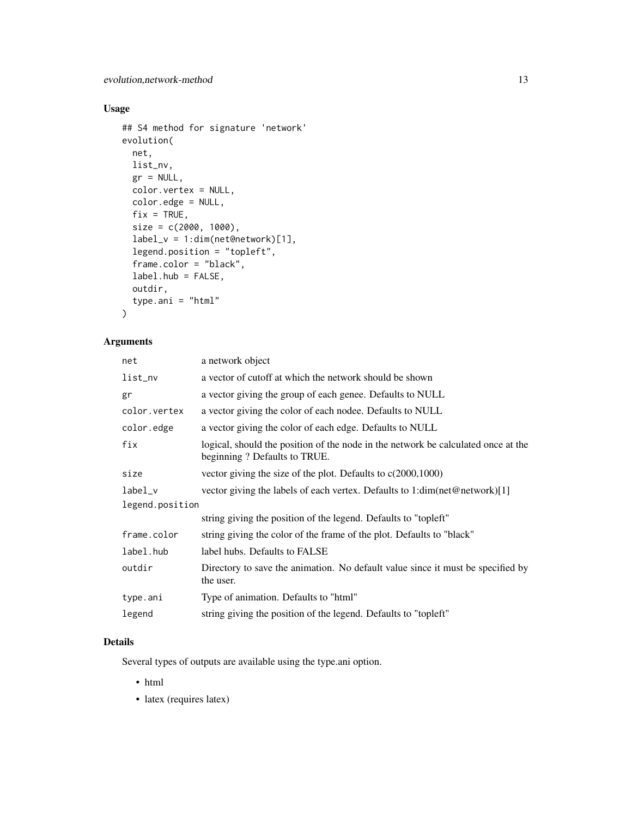# Usage

```
## S4 method for signature 'network'
evolution(
 net,
 list_nv,
 gr = NULL,color.vertex = NULL,
 color.edge = NULL,
 fix = TRUE,size = c(2000, 1000),
 label_v = 1:dim(net@network)[1],legend.position = "topleft",
  frame.color = "black",
 label.hub = FALSE,
 outdir,
 type.ani = "html"
)
```
# Arguments

| net             | a network object                                                                                                  |  |
|-----------------|-------------------------------------------------------------------------------------------------------------------|--|
| list_nv         | a vector of cutoff at which the network should be shown                                                           |  |
| gr              | a vector giving the group of each genee. Defaults to NULL                                                         |  |
| color.vertex    | a vector giving the color of each nodee. Defaults to NULL                                                         |  |
| color.edge      | a vector giving the color of each edge. Defaults to NULL                                                          |  |
| fix             | logical, should the position of the node in the network be calculated once at the<br>beginning? Defaults to TRUE. |  |
| size            | vector giving the size of the plot. Defaults to $c(2000,1000)$                                                    |  |
| label_v         | vector giving the labels of each vertex. Defaults to $1:dim(\text{net@network})[1]$                               |  |
| legend.position |                                                                                                                   |  |
|                 | string giving the position of the legend. Defaults to "topleft"                                                   |  |
| frame.color     | string giving the color of the frame of the plot. Defaults to "black"                                             |  |
| label.hub       | label hubs. Defaults to FALSE                                                                                     |  |
| outdir          | Directory to save the animation. No default value since it must be specified by<br>the user.                      |  |
| type.ani        | Type of animation. Defaults to "html"                                                                             |  |
| legend          | string giving the position of the legend. Defaults to "topleft"                                                   |  |
|                 |                                                                                                                   |  |

# Details

Several types of outputs are available using the type.ani option.

- html
- latex (requires latex)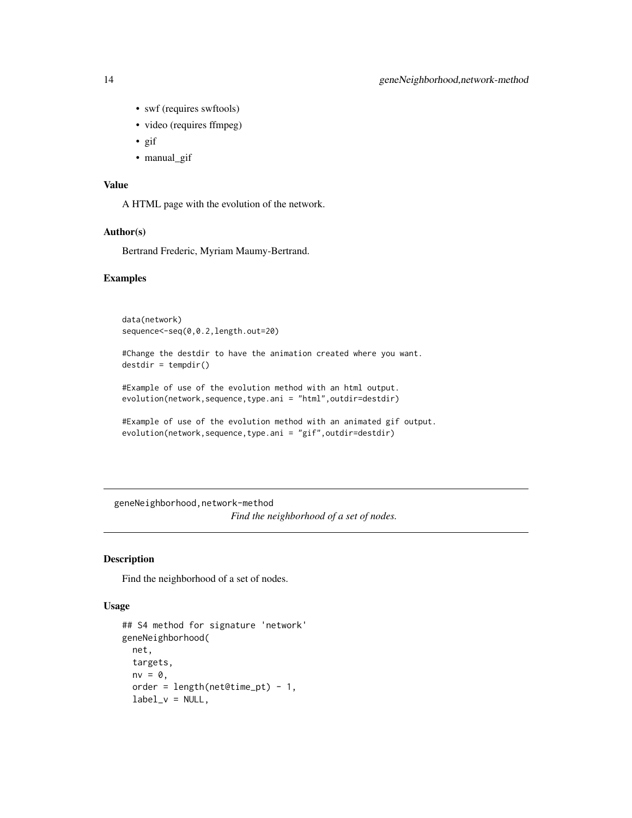- swf (requires swftools)
- video (requires ffmpeg)
- gif
- manual gif

#### Value

A HTML page with the evolution of the network.

#### Author(s)

Bertrand Frederic, Myriam Maumy-Bertrand.

# Examples

```
data(network)
sequence<-seq(0,0.2,length.out=20)
```
#Change the destdir to have the animation created where you want.  $destdir = tempdir()$ 

```
#Example of use of the evolution method with an html output.
evolution(network,sequence,type.ani = "html",outdir=destdir)
```

```
#Example of use of the evolution method with an animated gif output.
evolution(network,sequence,type.ani = "gif",outdir=destdir)
```
geneNeighborhood,network-method

*Find the neighborhood of a set of nodes.*

#### Description

Find the neighborhood of a set of nodes.

#### Usage

```
## S4 method for signature 'network'
geneNeighborhood(
 net,
  targets,
 nv = 0,
  order = length(net@time_pt) - 1,
  label_v = NULL,
```
<span id="page-13-0"></span>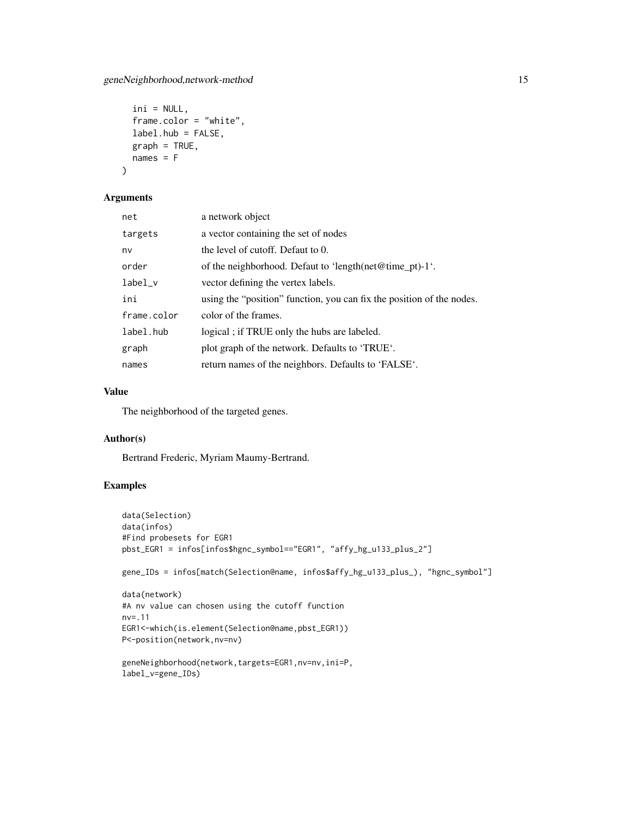```
ini = NULL,
frame.color = "white",
label.hub = FALSE,
graph = TRUE,names = F
```
#### Arguments

)

| net         | a network object                                                      |
|-------------|-----------------------------------------------------------------------|
| targets     | a vector containing the set of nodes                                  |
| nv          | the level of cutoff. Defaut to 0.                                     |
| order       | of the neighborhood. Defaut to 'length(net@time_pt)-1'.               |
| $label_v$   | vector defining the vertex labels.                                    |
| ini         | using the "position" function, you can fix the position of the nodes. |
| frame.color | color of the frames.                                                  |
| label.hub   | logical; if TRUE only the hubs are labeled.                           |
| graph       | plot graph of the network. Defaults to 'TRUE'.                        |
| names       | return names of the neighbors. Defaults to 'FALSE'.                   |
|             |                                                                       |

# Value

The neighborhood of the targeted genes.

# Author(s)

Bertrand Frederic, Myriam Maumy-Bertrand.

```
data(Selection)
data(infos)
#Find probesets for EGR1
pbst_EGR1 = infos[infos$hgnc_symbol=="EGR1", "affy_hg_u133_plus_2"]
gene_IDs = infos[match(Selection@name, infos$affy_hg_u133_plus_), "hgnc_symbol"]
data(network)
#A nv value can chosen using the cutoff function
nv=.11
EGR1<-which(is.element(Selection@name,pbst_EGR1))
P<-position(network,nv=nv)
geneNeighborhood(network,targets=EGR1,nv=nv,ini=P,
label_v=gene_IDs)
```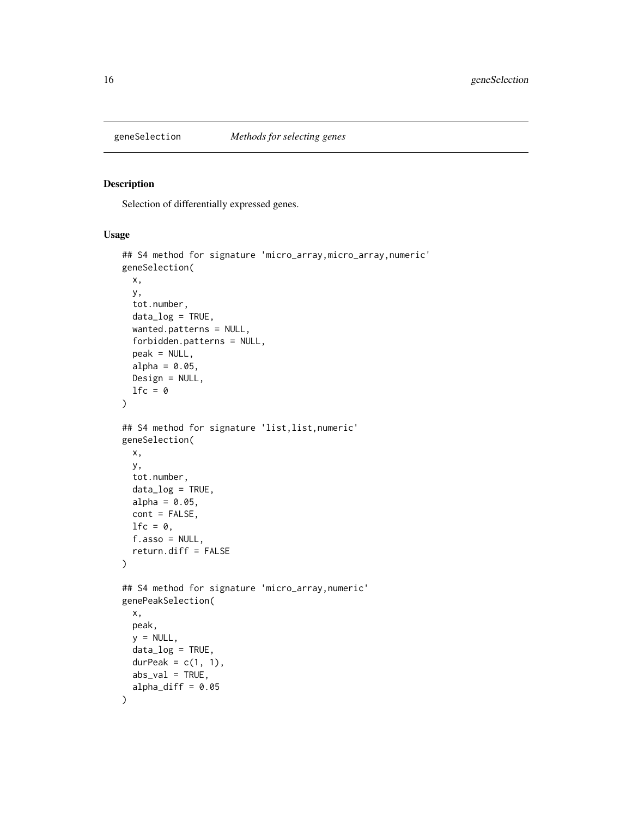<span id="page-15-0"></span>

#### Description

Selection of differentially expressed genes.

#### Usage

```
## S4 method for signature 'micro_array,micro_array,numeric'
geneSelection(
 x,
 y,
  tot.number,
 data_log = TRUE,
 wanted.patterns = NULL,
  forbidden.patterns = NULL,
 peak = NULL,
 alpha = 0.05,
 Design = NULL,
 lfc = 0)
## S4 method for signature 'list,list,numeric'
geneSelection(
 x,
 y,
 tot.number,
 data_log = TRUE,
 alpha = 0.05,
 cont = FALSE,lfc = 0,
  f.asso = NULL,
 return.diff = FALSE
\lambda## S4 method for signature 'micro_array,numeric'
genePeakSelection(
 x,
 peak,
 y = NULL,
 data_log = TRUE,
 durPeak = c(1, 1),abs_val = TRUE,alpha_diff = 0.05\mathcal{E}
```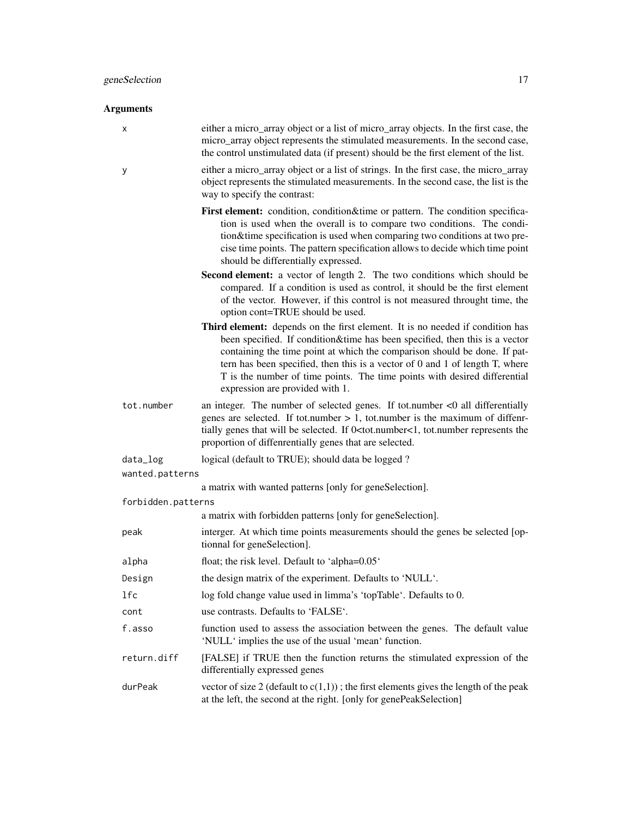# Arguments x either a micro\_array object or a list of micro\_array objects. In the first case, the micro\_array object represents the stimulated measurements. In the second case, the control unstimulated data (if present) should be the first element of the list. y either a micro\_array object or a list of strings. In the first case, the micro\_array object represents the stimulated measurements. In the second case, the list is the way to specify the contrast: First element: condition, condition&time or pattern. The condition specification is used when the overall is to compare two conditions. The condition&time specification is used when comparing two conditions at two precise time points. The pattern specification allows to decide which time point should be differentially expressed. Second element: a vector of length 2. The two conditions which should be compared. If a condition is used as control, it should be the first element of the vector. However, if this control is not measured throught time, the option cont=TRUE should be used. Third element: depends on the first element. It is no needed if condition has been specified. If condition&time has been specified, then this is a vector containing the time point at which the comparison should be done. If pattern has been specified, then this is a vector of 0 and 1 of length T, where T is the number of time points. The time points with desired differential expression are provided with 1. tot.number an integer. The number of selected genes. If tot.number <0 all differentially genes are selected. If tot.number  $> 1$ , tot.number is the maximum of diffenrtially genes that will be selected. If 0<tot.number<1, tot.number represents the proportion of diffenrentially genes that are selected. data\_log logical (default to TRUE); should data be logged ? wanted.patterns a matrix with wanted patterns [only for geneSelection]. forbidden.patterns a matrix with forbidden patterns [only for geneSelection]. peak interger. At which time points measurements should the genes be selected [optionnal for geneSelection]. alpha float; the risk level. Default to 'alpha=0.05' Design the design matrix of the experiment. Defaults to 'NULL'. lfc log fold change value used in limma's 'topTable'. Defaults to 0. cont use contrasts. Defaults to 'FALSE'. f.asso function used to assess the association between the genes. The default value 'NULL' implies the use of the usual 'mean' function. return.diff [FALSE] if TRUE then the function returns the stimulated expression of the differentially expressed genes durPeak vector of size 2 (default to  $c(1,1)$ ); the first elements gives the length of the peak at the left, the second at the right. [only for genePeakSelection]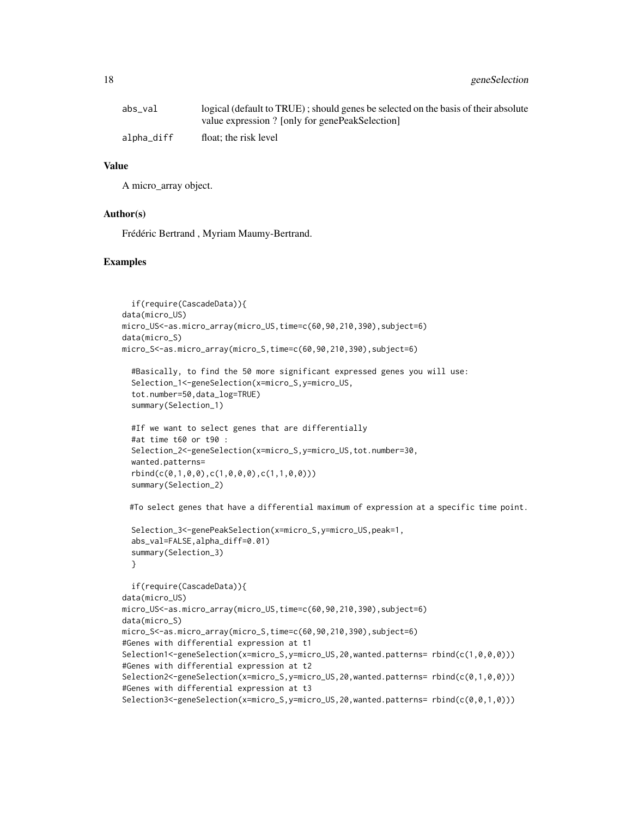18 geneSelection and the selection of the selection of the selection of the selection of the selection of the selection of the selection of the selection of the selection of the selection of the selection of the selection

| abs_val    | logical (default to TRUE); should genes be selected on the basis of their absolute |
|------------|------------------------------------------------------------------------------------|
|            | value expression ? [only for genePeakSelection]                                    |
| alpha_diff | float: the risk level                                                              |

#### Value

A micro\_array object.

#### Author(s)

Frédéric Bertrand , Myriam Maumy-Bertrand.

#### Examples

```
if(require(CascadeData)){
data(micro_US)
micro_US<-as.micro_array(micro_US,time=c(60,90,210,390),subject=6)
data(micro_S)
micro_S<-as.micro_array(micro_S,time=c(60,90,210,390),subject=6)
 #Basically, to find the 50 more significant expressed genes you will use:
 Selection_1<-geneSelection(x=micro_S,y=micro_US,
 tot.number=50,data_log=TRUE)
 summary(Selection_1)
 #If we want to select genes that are differentially
 #at time t60 or t90 :
 Selection_2<-geneSelection(x=micro_S,y=micro_US,tot.number=30,
 wanted.patterns=
 rbind(c(0,1,0,0),c(1,0,0,0),c(1,1,0,0)))
 summary(Selection_2)
 #To select genes that have a differential maximum of expression at a specific time point.
 Selection_3<-genePeakSelection(x=micro_S,y=micro_US,peak=1,
 abs_val=FALSE,alpha_diff=0.01)
 summary(Selection_3)
 }
 if(require(CascadeData)){
data(micro_US)
micro_US<-as.micro_array(micro_US,time=c(60,90,210,390),subject=6)
data(micro_S)
micro_S<-as.micro_array(micro_S,time=c(60,90,210,390),subject=6)
#Genes with differential expression at t1
Selection1<-geneSelection(x=micro_S,y=micro_US,20,wanted.patterns= rbind(c(1,0,0,0)))
#Genes with differential expression at t2
Selection2<-geneSelection(x=micro_S,y=micro_US,20,wanted.patterns= rbind(c(0,1,0,0)))
#Genes with differential expression at t3
```
Selection3<-geneSelection(x=micro\_S,y=micro\_US,20,wanted.patterns= rbind(c(0,0,1,0)))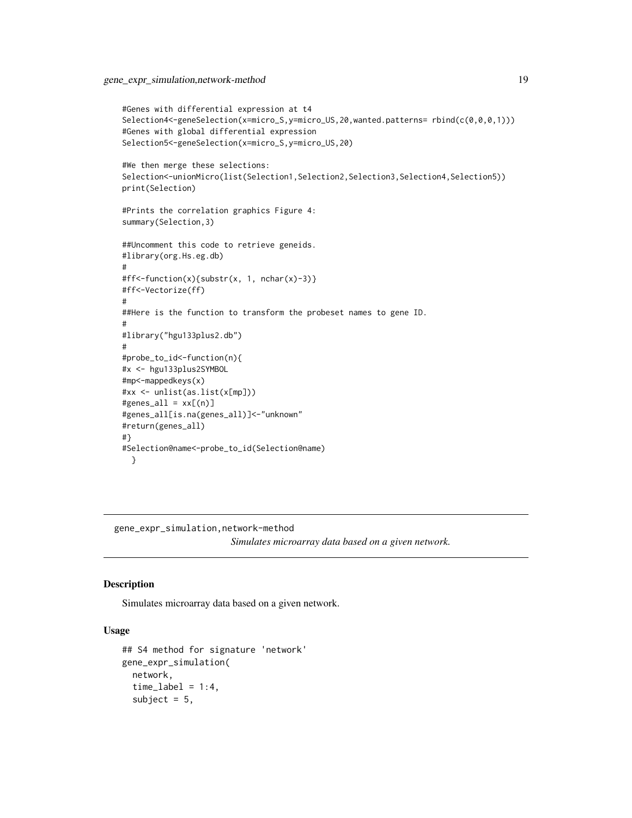```
#Genes with differential expression at t4
Selection4<-geneSelection(x=micro_S,y=micro_US,20,wanted.patterns= rbind(c(0,0,0,1)))
#Genes with global differential expression
Selection5<-geneSelection(x=micro_S,y=micro_US,20)
#We then merge these selections:
Selection<-unionMicro(list(Selection1,Selection2,Selection3,Selection4,Selection5))
print(Selection)
#Prints the correlation graphics Figure 4:
summary(Selection,3)
##Uncomment this code to retrieve geneids.
#library(org.Hs.eg.db)
#
#ff<-function(x){substr(x, 1, nchar(x)-3)}
#ff<-Vectorize(ff)
#
##Here is the function to transform the probeset names to gene ID.
#
#library("hgu133plus2.db")
#
#probe_to_id<-function(n){
#x <- hgu133plus2SYMBOL
#mp<-mappedkeys(x)
#xx <- unlist(as.list(x[mp]))
#genes\_all = xx[(n)]#genes_all[is.na(genes_all)]<-"unknown"
#return(genes_all)
#}
#Selection@name<-probe_to_id(Selection@name)
 }
```
gene\_expr\_simulation,network-method

*Simulates microarray data based on a given network.*

#### Description

Simulates microarray data based on a given network.

# Usage

```
## S4 method for signature 'network'
gene_expr_simulation(
 network,
  time\_label = 1:4,subject = 5,
```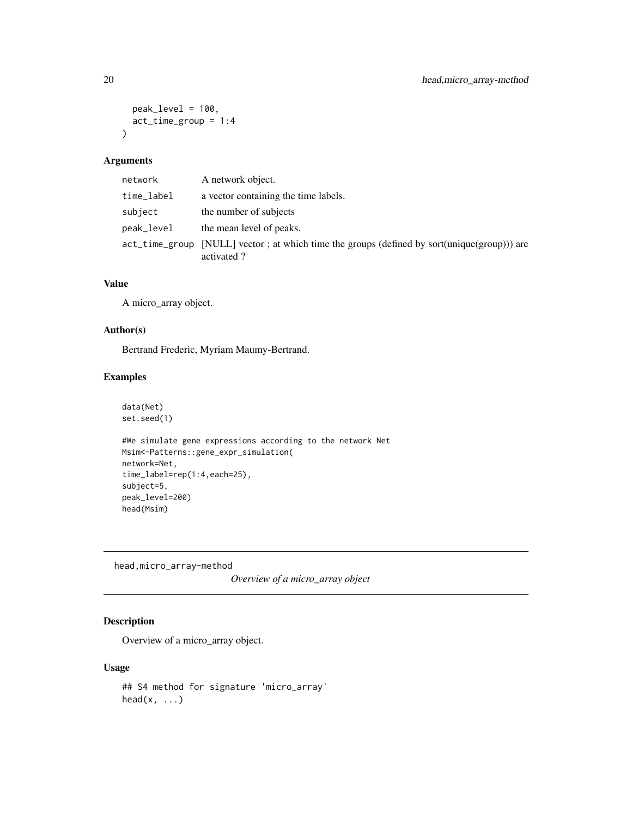```
peak_level = 100,
  act_time\_group = 1:4\lambda
```
#### Arguments

| network    | A network object.                                                                                         |
|------------|-----------------------------------------------------------------------------------------------------------|
| time_label | a vector containing the time labels.                                                                      |
| subject    | the number of subjects                                                                                    |
| peak_level | the mean level of peaks.                                                                                  |
|            | act_time_group [NULL] vector; at which time the groups (defined by sort(unique(group))) are<br>activated? |

# Value

A micro\_array object.

# Author(s)

Bertrand Frederic, Myriam Maumy-Bertrand.

#### Examples

data(Net) set.seed(1) #We simulate gene expressions according to the network Net Msim<-Patterns::gene\_expr\_simulation( network=Net, time\_label=rep(1:4,each=25),

subject=5, peak\_level=200)

head(Msim)

head,micro\_array-method

*Overview of a micro\_array object*

# Description

Overview of a micro\_array object.

#### Usage

```
## S4 method for signature 'micro_array'
head(x, \ldots)
```
<span id="page-19-0"></span>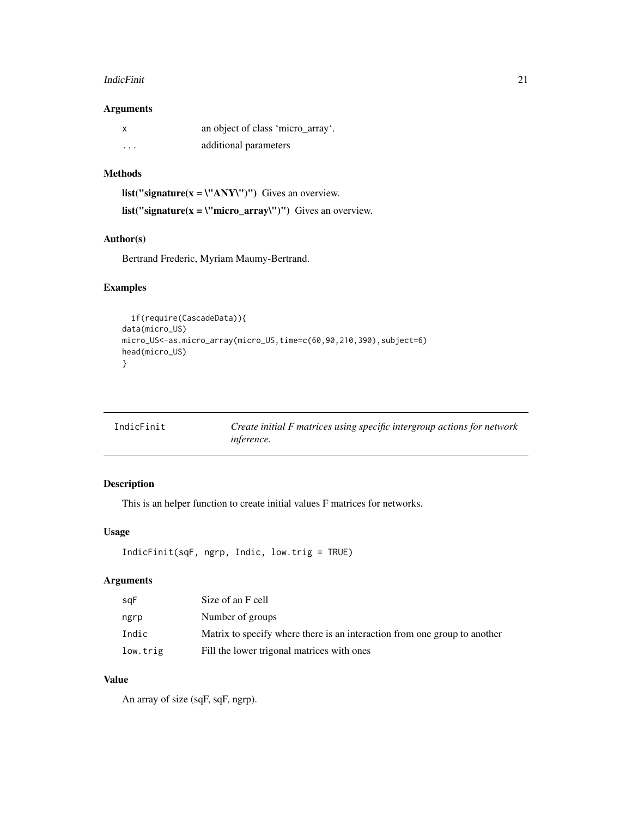#### <span id="page-20-0"></span>**IndicFinit** 21

#### Arguments

| $\mathsf{X}$ | an object of class 'micro_array'. |
|--------------|-----------------------------------|
| $\cdots$     | additional parameters             |

# Methods

list("signature( $x = \Upsilon'$ ANY\")") Gives an overview. list("signature( $x = \text{``micro\_array''''''}$ ) Gives an overview.

# Author(s)

Bertrand Frederic, Myriam Maumy-Bertrand.

# Examples

```
if(require(CascadeData)){
data(micro_US)
micro_US<-as.micro_array(micro_US,time=c(60,90,210,390),subject=6)
head(micro_US)
}
```

| IndicFinit | Create initial F matrices using specific intergroup actions for network |
|------------|-------------------------------------------------------------------------|
|            | <i>inference.</i>                                                       |

# Description

This is an helper function to create initial values F matrices for networks.

# Usage

```
IndicFinit(sqF, ngrp, Indic, low.trig = TRUE)
```
# Arguments

| sqF      | Size of an F cell                                                         |
|----------|---------------------------------------------------------------------------|
| ngrp     | Number of groups                                                          |
| Indic    | Matrix to specify where there is an interaction from one group to another |
| low.trig | Fill the lower trigonal matrices with ones                                |

# Value

An array of size (sqF, sqF, ngrp).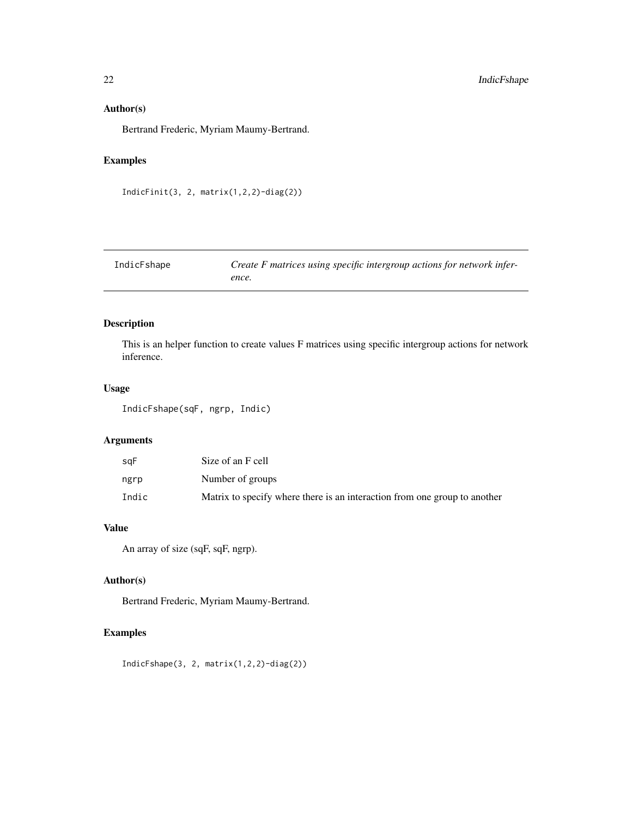### <span id="page-21-0"></span>Author(s)

Bertrand Frederic, Myriam Maumy-Bertrand.

# Examples

```
IndicFinit(3, 2, matrix(1,2,2)-diag(2))
```

| IndicFshape | Create F matrices using specific intergroup actions for network infer- |
|-------------|------------------------------------------------------------------------|
|             | ence.                                                                  |

# Description

This is an helper function to create values F matrices using specific intergroup actions for network inference.

# Usage

IndicFshape(sqF, ngrp, Indic)

# Arguments

| saF   | Size of an F cell                                                         |
|-------|---------------------------------------------------------------------------|
| ngrp  | Number of groups                                                          |
| Indic | Matrix to specify where there is an interaction from one group to another |

# Value

An array of size (sqF, sqF, ngrp).

# Author(s)

Bertrand Frederic, Myriam Maumy-Bertrand.

# Examples

IndicFshape(3, 2, matrix(1,2,2)-diag(2))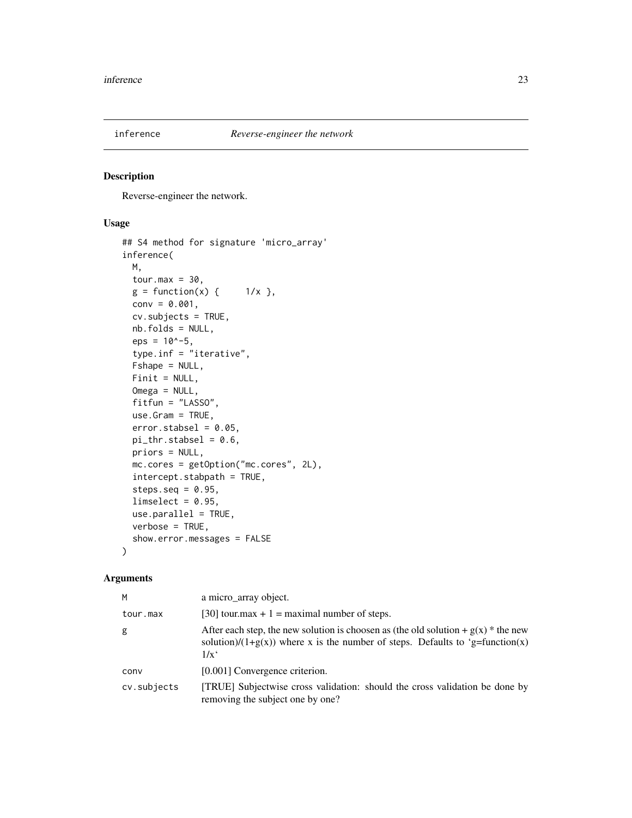<span id="page-22-0"></span>

#### Description

Reverse-engineer the network.

#### Usage

```
## S4 method for signature 'micro_array'
inference(
 M,
 tour.max = 30,
 g = function(x) { 1/x },
 conv = 0.001,cv.subjects = TRUE,
 nb.folds = NULL,
 eps = 10^{\circ}-5,
  type.inf = "iterative",
 Fshape = NULL,
 Finit = NULL,
 Omega = NULL,
  fitfun = "LASSO",
 use.Gram = TRUE,
 error.stdout = 0.05,
 pi_{\text{thr.stabsel}} = 0.6,
 priors = NULL,
 mc.cores = getOption("mc.cores", 2L),
  intercept.stabpath = TRUE,
  steps.seq = 0.95,
 limselect = 0.95,use.parallel = TRUE,
 verbose = TRUE,
  show.error.messages = FALSE
)
```
# Arguments

| м           | a micro_array object.                                                                                                                                                                     |
|-------------|-------------------------------------------------------------------------------------------------------------------------------------------------------------------------------------------|
| tour.max    | [30] tour.max + 1 = maximal number of steps.                                                                                                                                              |
| g           | After each step, the new solution is choosen as (the old solution + $g(x)$ * the new<br>solution)/(1+g(x)) where x is the number of steps. Defaults to 'g=function(x)<br>$1/x^{\epsilon}$ |
| conv        | [0.001] Convergence criterion.                                                                                                                                                            |
| cv.subjects | [TRUE] Subjectwise cross validation: should the cross validation be done by<br>removing the subject one by one?                                                                           |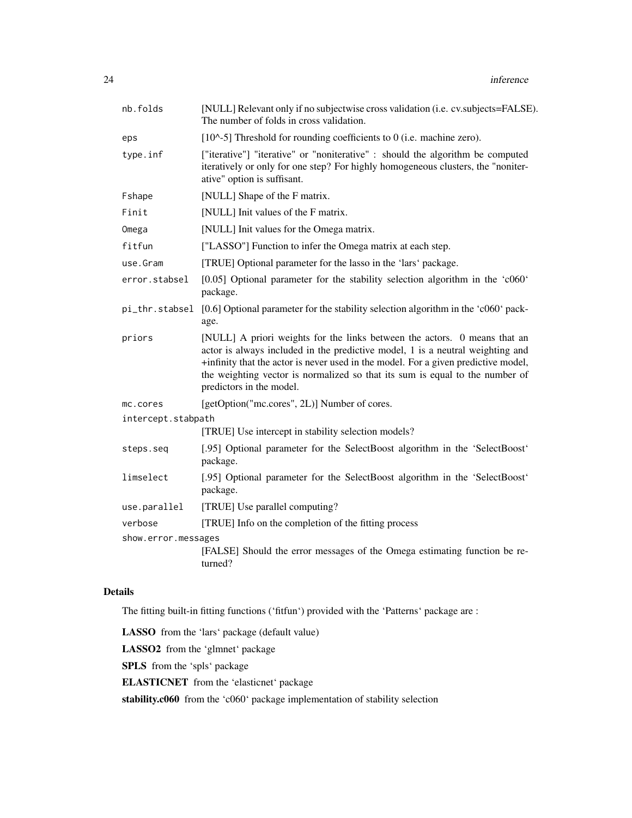| nb.folds            | [NULL] Relevant only if no subjectwise cross validation (i.e. cv.subjects=FALSE).<br>The number of folds in cross validation.                                                                                                                                                                                                                                 |  |
|---------------------|---------------------------------------------------------------------------------------------------------------------------------------------------------------------------------------------------------------------------------------------------------------------------------------------------------------------------------------------------------------|--|
| eps                 | [ $10^{\circ}$ -5] Threshold for rounding coefficients to 0 (i.e. machine zero).                                                                                                                                                                                                                                                                              |  |
| type.inf            | ["iterative"] "iterative" or "noniterative" : should the algorithm be computed<br>iteratively or only for one step? For highly homogeneous clusters, the "noniter-<br>ative" option is suffisant.                                                                                                                                                             |  |
| Fshape              | [NULL] Shape of the F matrix.                                                                                                                                                                                                                                                                                                                                 |  |
| Finit               | [NULL] Init values of the F matrix.                                                                                                                                                                                                                                                                                                                           |  |
| Omega               | [NULL] Init values for the Omega matrix.                                                                                                                                                                                                                                                                                                                      |  |
| fitfun              | ["LASSO"] Function to infer the Omega matrix at each step.                                                                                                                                                                                                                                                                                                    |  |
| use.Gram            | [TRUE] Optional parameter for the lasso in the 'lars' package.                                                                                                                                                                                                                                                                                                |  |
| error.stabsel       | [0.05] Optional parameter for the stability selection algorithm in the 'c060'<br>package.                                                                                                                                                                                                                                                                     |  |
|                     | pi_thr.stabsel [0.6] Optional parameter for the stability selection algorithm in the 'c060' pack-<br>age.                                                                                                                                                                                                                                                     |  |
| priors              | [NULL] A priori weights for the links between the actors. 0 means that an<br>actor is always included in the predictive model, 1 is a neutral weighting and<br>+infinity that the actor is never used in the model. For a given predictive model,<br>the weighting vector is normalized so that its sum is equal to the number of<br>predictors in the model. |  |
| mc.cores            | [getOption("mc.cores", 2L)] Number of cores.                                                                                                                                                                                                                                                                                                                  |  |
| intercept.stabpath  |                                                                                                                                                                                                                                                                                                                                                               |  |
|                     | [TRUE] Use intercept in stability selection models?                                                                                                                                                                                                                                                                                                           |  |
| steps.seq           | [.95] Optional parameter for the SelectBoost algorithm in the 'SelectBoost'<br>package.                                                                                                                                                                                                                                                                       |  |
| limselect           | [.95] Optional parameter for the SelectBoost algorithm in the 'SelectBoost'<br>package.                                                                                                                                                                                                                                                                       |  |
| use.parallel        | [TRUE] Use parallel computing?                                                                                                                                                                                                                                                                                                                                |  |
| verbose             | [TRUE] Info on the completion of the fitting process                                                                                                                                                                                                                                                                                                          |  |
| show.error.messages |                                                                                                                                                                                                                                                                                                                                                               |  |
|                     | [FALSE] Should the error messages of the Omega estimating function be re-<br>turned?                                                                                                                                                                                                                                                                          |  |

# Details

The fitting built-in fitting functions ('fitfun') provided with the 'Patterns' package are :

LASSO from the 'lars' package (default value)

LASSO2 from the 'glmnet' package

SPLS from the 'spls' package

ELASTICNET from the 'elasticnet' package

stability.c060 from the 'c060' package implementation of stability selection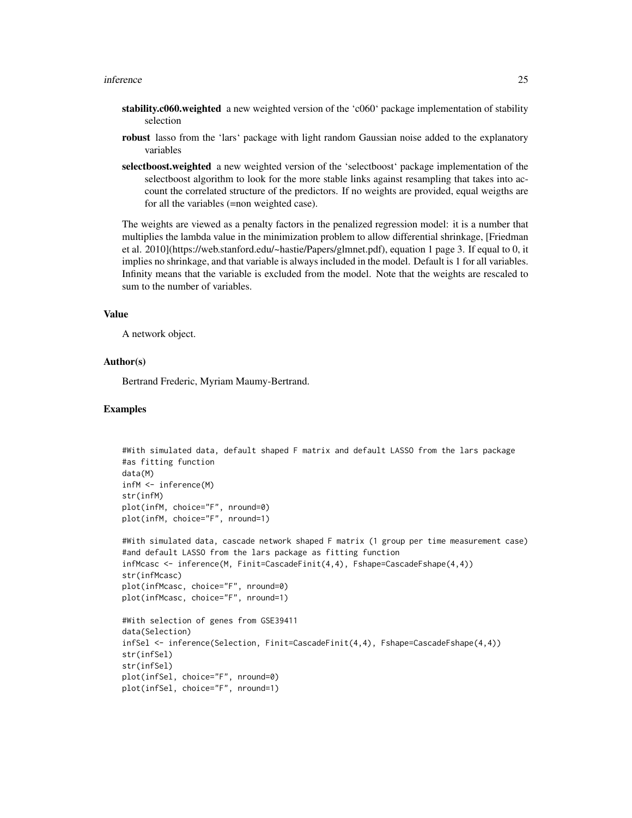- stability.c060.weighted a new weighted version of the 'c060' package implementation of stability selection
- robust lasso from the 'lars' package with light random Gaussian noise added to the explanatory variables
- selectboost.weighted a new weighted version of the 'selectboost' package implementation of the selectboost algorithm to look for the more stable links against resampling that takes into account the correlated structure of the predictors. If no weights are provided, equal weigths are for all the variables (=non weighted case).

The weights are viewed as a penalty factors in the penalized regression model: it is a number that multiplies the lambda value in the minimization problem to allow differential shrinkage, [Friedman et al. 2010](https://web.stanford.edu/~hastie/Papers/glmnet.pdf), equation 1 page 3. If equal to 0, it implies no shrinkage, and that variable is always included in the model. Default is 1 for all variables. Infinity means that the variable is excluded from the model. Note that the weights are rescaled to sum to the number of variables.

#### Value

A network object.

#### Author(s)

Bertrand Frederic, Myriam Maumy-Bertrand.

```
#With simulated data, default shaped F matrix and default LASSO from the lars package
#as fitting function
data(M)
infM <- inference(M)
str(infM)
plot(infM, choice="F", nround=0)
plot(infM, choice="F", nround=1)
#With simulated data, cascade network shaped F matrix (1 group per time measurement case)
#and default LASSO from the lars package as fitting function
infMcasc <- inference(M, Finit=CascadeFinit(4,4), Fshape=CascadeFshape(4,4))
str(infMcasc)
plot(infMcasc, choice="F", nround=0)
plot(infMcasc, choice="F", nround=1)
#With selection of genes from GSE39411
data(Selection)
infSel <- inference(Selection, Finit=CascadeFinit(4,4), Fshape=CascadeFshape(4,4))
str(infSel)
str(infSel)
plot(infSel, choice="F", nround=0)
plot(infSel, choice="F", nround=1)
```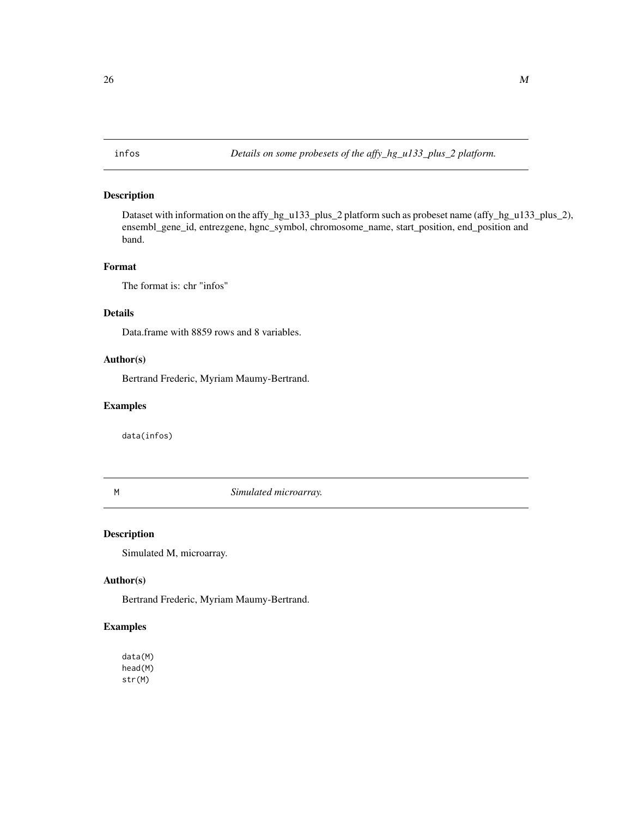#### <span id="page-25-0"></span>Description

Dataset with information on the affy\_hg\_u133\_plus\_2 platform such as probeset name (affy\_hg\_u133\_plus\_2), ensembl\_gene\_id, entrezgene, hgnc\_symbol, chromosome\_name, start\_position, end\_position and band.

#### Format

The format is: chr "infos"

# Details

Data.frame with 8859 rows and 8 variables.

# Author(s)

Bertrand Frederic, Myriam Maumy-Bertrand.

#### Examples

data(infos)

M *Simulated microarray.*

#### Description

Simulated M, microarray.

#### Author(s)

Bertrand Frederic, Myriam Maumy-Bertrand.

### Examples

data(M) head(M) str(M)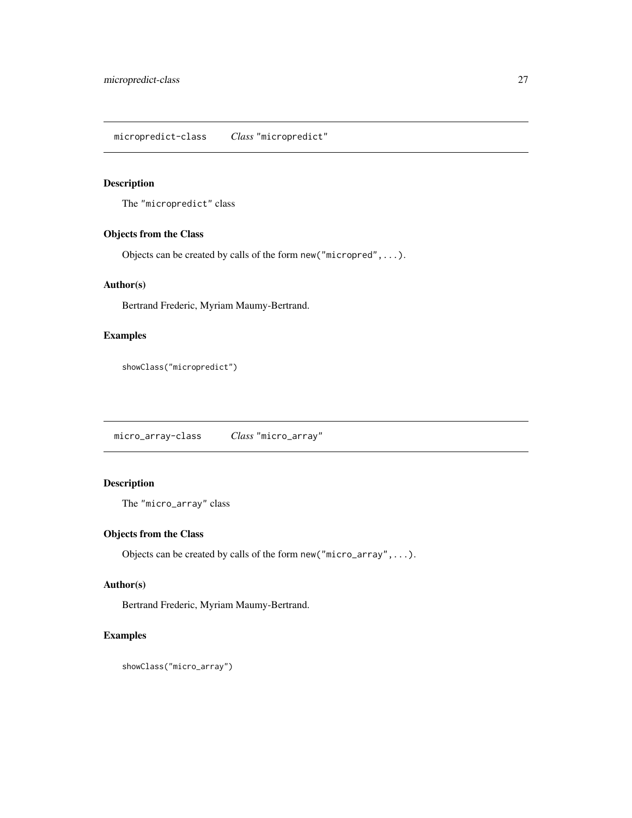<span id="page-26-0"></span>micropredict-class *Class* "micropredict"

#### Description

The "micropredict" class

#### Objects from the Class

Objects can be created by calls of the form new("micropred",...).

# Author(s)

Bertrand Frederic, Myriam Maumy-Bertrand.

# Examples

showClass("micropredict")

micro\_array-class *Class* "micro\_array"

# Description

The "micro\_array" class

# Objects from the Class

Objects can be created by calls of the form new("micro\_array",...).

# Author(s)

Bertrand Frederic, Myriam Maumy-Bertrand.

```
showClass("micro_array")
```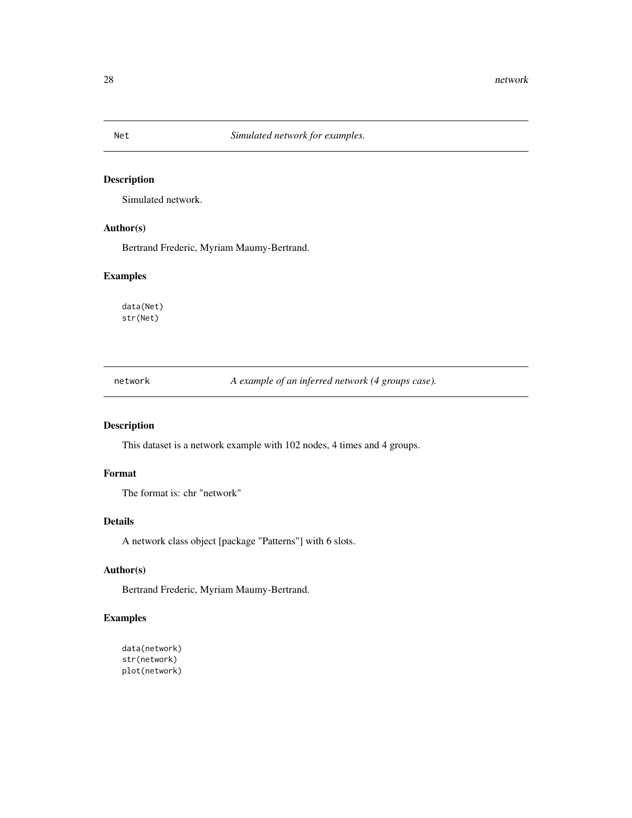# Description

Simulated network.

# Author(s)

Bertrand Frederic, Myriam Maumy-Bertrand.

# Examples

data(Net) str(Net)

network *A example of an inferred network (4 groups case).*

# Description

This dataset is a network example with 102 nodes, 4 times and 4 groups.

# Format

The format is: chr "network"

#### Details

A network class object [package "Patterns"] with 6 slots.

# Author(s)

Bertrand Frederic, Myriam Maumy-Bertrand.

```
data(network)
str(network)
plot(network)
```
<span id="page-27-0"></span>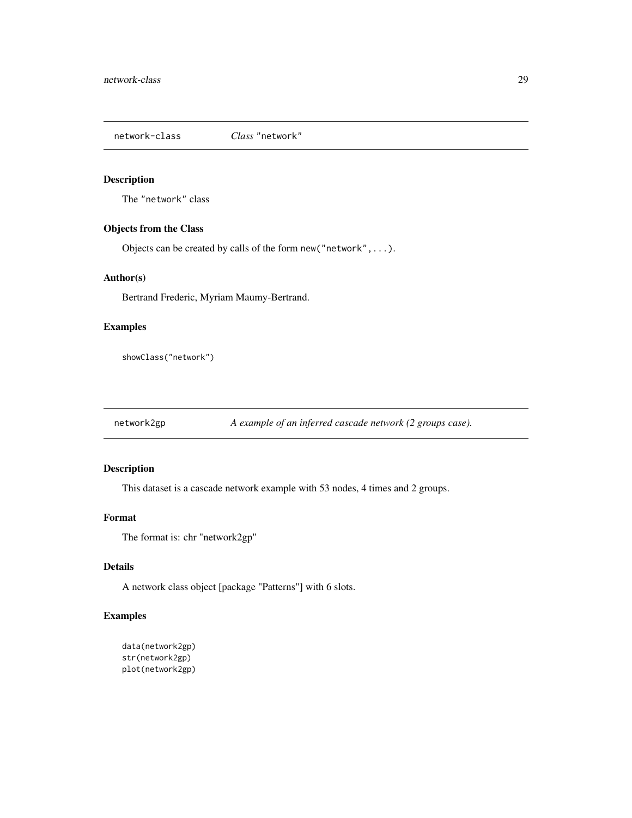<span id="page-28-0"></span>network-class *Class* "network"

## Description

The "network" class

#### Objects from the Class

Objects can be created by calls of the form new("network",...).

#### Author(s)

Bertrand Frederic, Myriam Maumy-Bertrand.

# Examples

showClass("network")

network2gp *A example of an inferred cascade network (2 groups case).*

# Description

This dataset is a cascade network example with 53 nodes, 4 times and 2 groups.

# Format

The format is: chr "network2gp"

# Details

A network class object [package "Patterns"] with 6 slots.

```
data(network2gp)
str(network2gp)
plot(network2gp)
```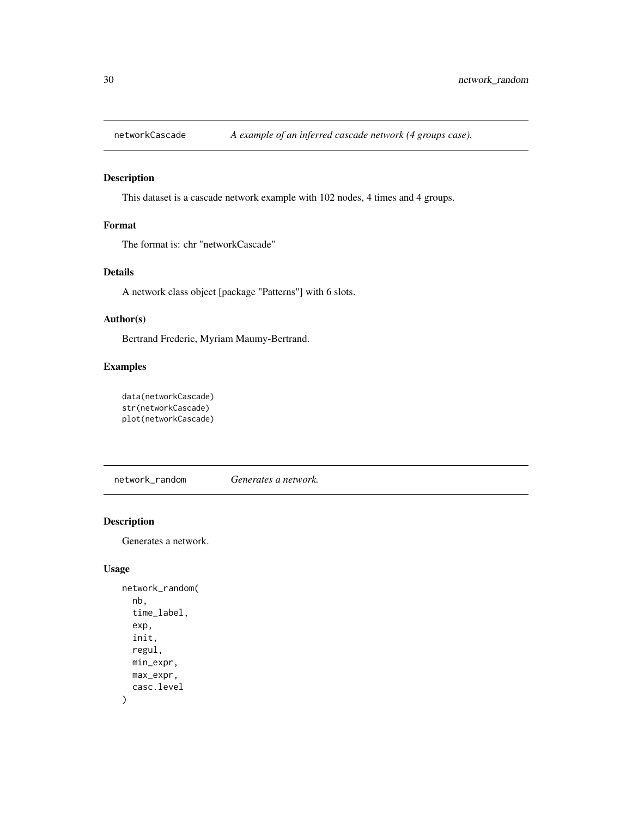<span id="page-29-0"></span>

# Description

This dataset is a cascade network example with 102 nodes, 4 times and 4 groups.

# Format

The format is: chr "networkCascade"

# Details

A network class object [package "Patterns"] with 6 slots.

### Author(s)

Bertrand Frederic, Myriam Maumy-Bertrand.

# Examples

```
data(networkCascade)
str(networkCascade)
plot(networkCascade)
```
network\_random *Generates a network.*

# Description

Generates a network.

#### Usage

```
network_random(
  nb,
  time_label,
 exp,
  init,
  regul,
 min_expr,
 max_expr,
  casc.level
)
```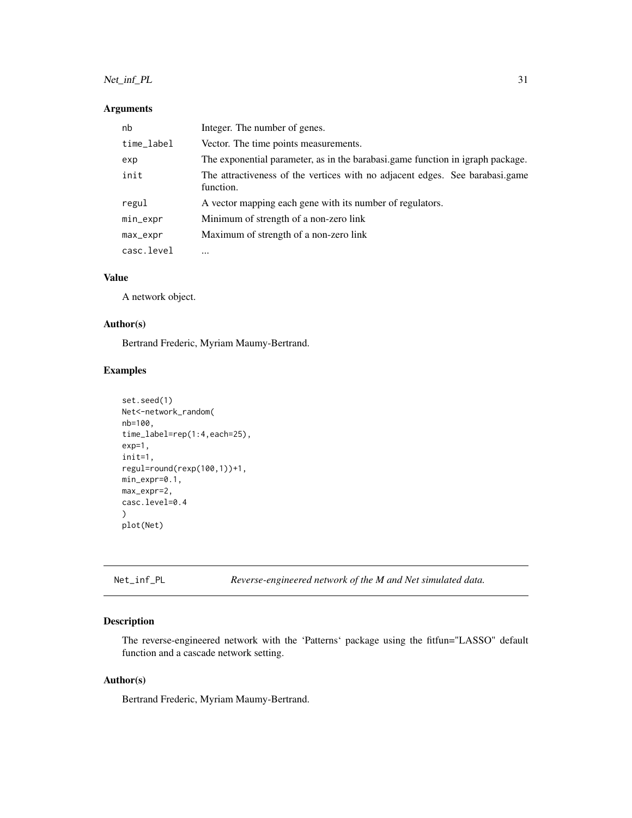# <span id="page-30-0"></span>Net\_inf\_PL 31

#### Arguments

| nb         | Integer. The number of genes.                                                             |
|------------|-------------------------------------------------------------------------------------------|
| time_label | Vector. The time points measurements.                                                     |
| exp        | The exponential parameter, as in the barabasi.game function in igraph package.            |
| init       | The attractiveness of the vertices with no adjacent edges. See barabasi.game<br>function. |
| regul      | A vector mapping each gene with its number of regulators.                                 |
| min_expr   | Minimum of strength of a non-zero link                                                    |
| max_expr   | Maximum of strength of a non-zero link                                                    |
| casc.level | $\cdots$                                                                                  |

#### Value

A network object.

# Author(s)

Bertrand Frederic, Myriam Maumy-Bertrand.

### Examples

```
set.seed(1)
Net<-network_random(
nb=100,
time_label=rep(1:4,each=25),
exp=1,
init=1,
regul=round(rexp(100,1))+1,
min_expr=0.1,
max_expr=2,
casc.level=0.4
)
plot(Net)
```
Net\_inf\_PL *Reverse-engineered network of the M and Net simulated data.*

#### Description

The reverse-engineered network with the 'Patterns' package using the fitfun="LASSO" default function and a cascade network setting.

# Author(s)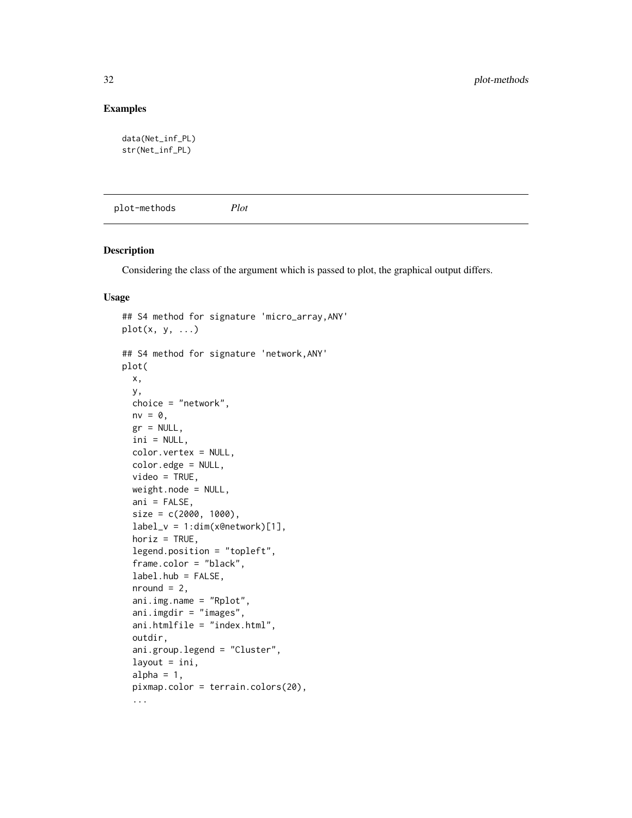# <span id="page-31-0"></span>Examples

```
data(Net_inf_PL)
str(Net_inf_PL)
```
plot-methods *Plot*

# Description

Considering the class of the argument which is passed to plot, the graphical output differs.

#### Usage

```
## S4 method for signature 'micro_array,ANY'
plot(x, y, ...)## S4 method for signature 'network,ANY'
plot(
 x,
  y,
  choice = "network",
 nv = 0,
  gr = NULL,
  ini = NULL,
  color.vertex = NULL,
  color.edge = NULL,
  video = TRUE,
  weight.node = NULL,
  ani = FALSE,
  size = c(2000, 1000),
  label_v = 1:dim(x@network)[1],horiz = TRUE,
  legend.position = "topleft",
  frame.color = "black",
  label.hub = FALSE,
  nround = 2,
  ani.img.name = "Rplot",
  ani.imgdir = "images",
  ani.htmlfile = "index.html",
  outdir,
  ani.group.legend = "Cluster",
  layout = ini,
  alpha = 1,
  pixmap.color = terrain.colors(20),
  ...
```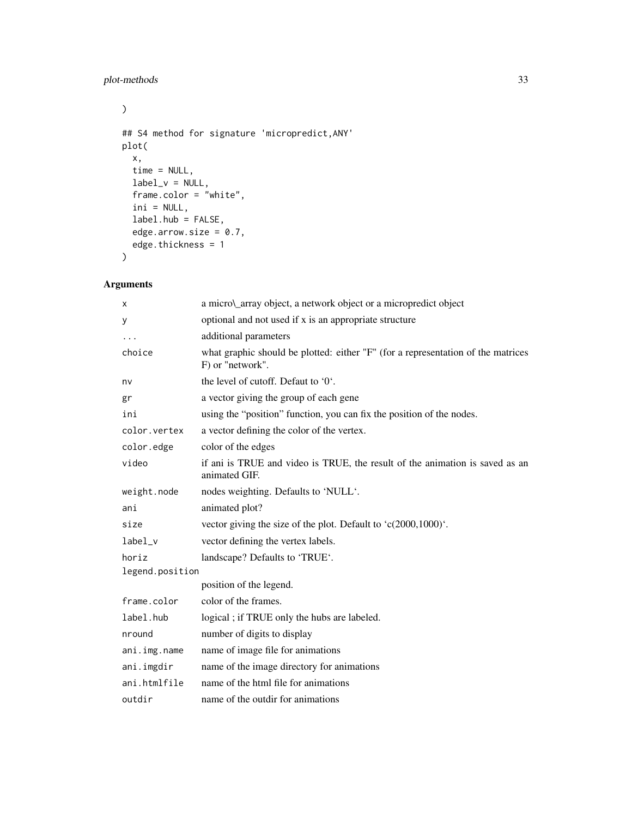# plot-methods 33

```
\mathcal{L}## S4 method for signature 'micropredict,ANY'
plot(
  x,
  time = NULL,
  label_v = NULL,frame.color = "white",
  ini = NULL,
  label.hub = FALSE,
  edge.arrow.size = 0.7,
  edge.thickness = 1
\mathcal{L}
```
# Arguments

| X               | a micro\_array object, a network object or a micropredict object                                     |
|-----------------|------------------------------------------------------------------------------------------------------|
| у               | optional and not used if x is an appropriate structure                                               |
| $\cdots$        | additional parameters                                                                                |
| choice          | what graphic should be plotted: either "F" (for a representation of the matrices<br>F) or "network". |
| nv              | the level of cutoff. Defaut to '0'.                                                                  |
| gr              | a vector giving the group of each gene                                                               |
| ini             | using the "position" function, you can fix the position of the nodes.                                |
| color.vertex    | a vector defining the color of the vertex.                                                           |
| color.edge      | color of the edges                                                                                   |
| video           | if ani is TRUE and video is TRUE, the result of the animation is saved as an<br>animated GIF.        |
| weight.node     | nodes weighting. Defaults to 'NULL'.                                                                 |
| ani             | animated plot?                                                                                       |
| size            | vector giving the size of the plot. Default to 'c(2000,1000)'.                                       |
| label_v         | vector defining the vertex labels.                                                                   |
| horiz           | landscape? Defaults to 'TRUE'.                                                                       |
| legend.position |                                                                                                      |
|                 | position of the legend.                                                                              |
| frame.color     | color of the frames.                                                                                 |
| label.hub       | logical; if TRUE only the hubs are labeled.                                                          |
| nround          | number of digits to display                                                                          |
| ani.img.name    | name of image file for animations                                                                    |
| ani.imgdir      | name of the image directory for animations                                                           |
| ani.htmlfile    | name of the html file for animations                                                                 |
| outdir          | name of the outdir for animations                                                                    |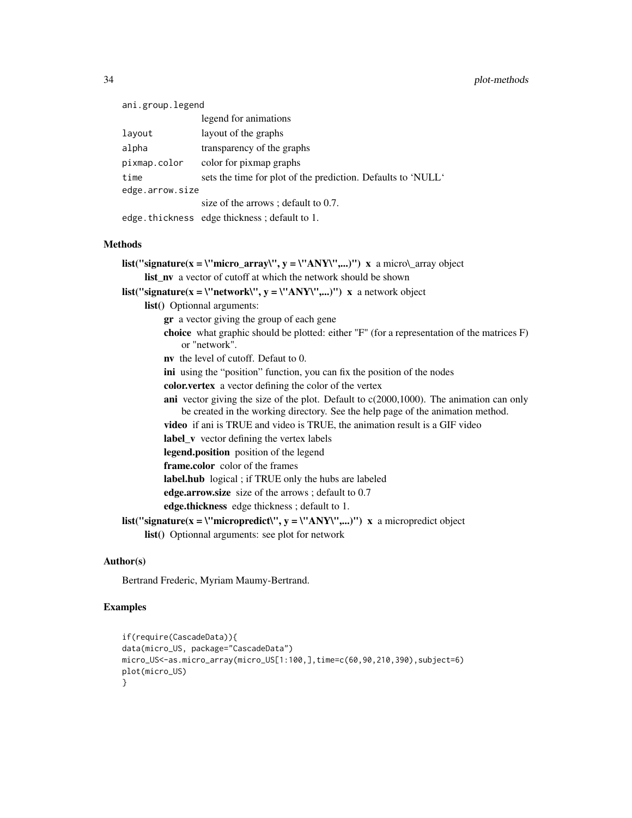#### 34 plot-methods

| ani.group.legend |                                                              |
|------------------|--------------------------------------------------------------|
|                  | legend for animations                                        |
| layout           | layout of the graphs                                         |
| alpha            | transparency of the graphs                                   |
| pixmap.color     | color for pixmap graphs                                      |
| time             | sets the time for plot of the prediction. Defaults to 'NULL' |
| edge.arrow.size  |                                                              |
|                  | size of the arrows; default to 0.7.                          |
|                  | edge. thickness edge thickness; default to 1.                |

#### Methods

```
list("signature(x = \"micro_array\", y = \"ANY\",...)") x a micro\_array object
     list_nv a vector of cutoff at which the network should be shown
list("signature(x = \"network\", y = \"ANY\",...)") x a network object
     list() Optionnal arguments:
          gr a vector giving the group of each gene
          choice what graphic should be plotted: either "F" (for a representation of the matrices F)
              or "network".
          nv the level of cutoff. Defaut to 0.
          ini using the "position" function, you can fix the position of the nodes
          color.vertex a vector defining the color of the vertex
          ani vector giving the size of the plot. Default to c(2000,1000). The animation can only
              be created in the working directory. See the help page of the animation method.
          video if ani is TRUE and video is TRUE, the animation result is a GIF video
          label_v vector defining the vertex labels
          legend.position position of the legend
          frame.color color of the frames
          label.hub logical ; if TRUE only the hubs are labeled
          edge.arrow.size size of the arrows ; default to 0.7
          edge.thickness edge thickness ; default to 1.
list("signature(x = \"micropredict\", y = \"ANY\",...)") x a micropredict object
     list() Optionnal arguments: see plot for network
```
#### Author(s)

Bertrand Frederic, Myriam Maumy-Bertrand.

```
if(require(CascadeData)){
data(micro_US, package="CascadeData")
micro_US<-as.micro_array(micro_US[1:100,],time=c(60,90,210,390),subject=6)
plot(micro_US)
}
```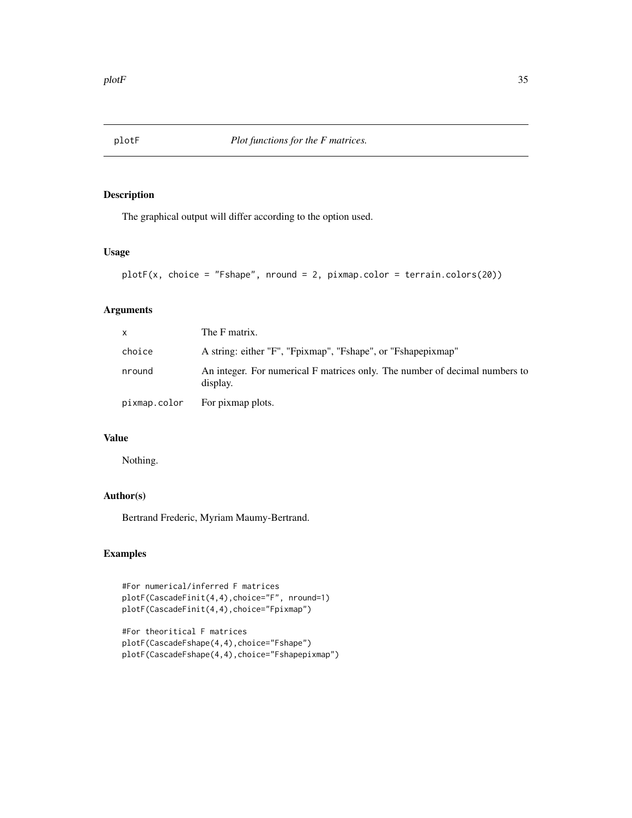<span id="page-34-0"></span>

# Description

The graphical output will differ according to the option used.

# Usage

```
plotF(x, choice = "Fshape", nround = 2, pixmap.color = terrain.colors(20))
```
#### Arguments

| <b>X</b>     | The F matrix.                                                                           |
|--------------|-----------------------------------------------------------------------------------------|
| choice       | A string: either "F", "Fpixmap", "Fshape", or "Fshapepixmap"                            |
| nround       | An integer. For numerical F matrices only. The number of decimal numbers to<br>display. |
| pixmap.color | For pixmap plots.                                                                       |

# Value

Nothing.

# Author(s)

Bertrand Frederic, Myriam Maumy-Bertrand.

```
#For numerical/inferred F matrices
plotF(CascadeFinit(4,4),choice="F", nround=1)
plotF(CascadeFinit(4,4),choice="Fpixmap")
```

```
#For theoritical F matrices
plotF(CascadeFshape(4,4),choice="Fshape")
plotF(CascadeFshape(4,4),choice="Fshapepixmap")
```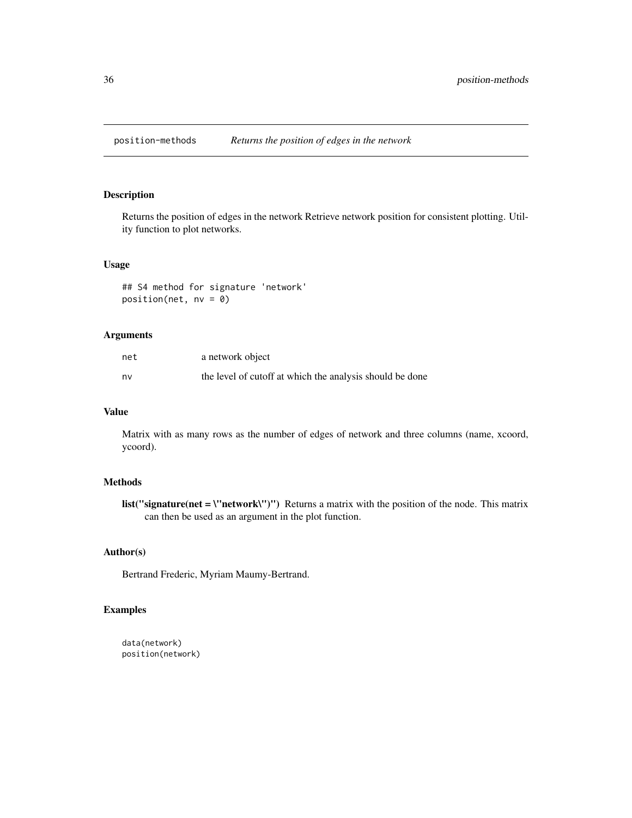<span id="page-35-0"></span>

#### Description

Returns the position of edges in the network Retrieve network position for consistent plotting. Utility function to plot networks.

#### Usage

## S4 method for signature 'network' position(net, nv = 0)

# Arguments

| net | a network object                                         |
|-----|----------------------------------------------------------|
| nv  | the level of cutoff at which the analysis should be done |

#### Value

Matrix with as many rows as the number of edges of network and three columns (name, xcoord, ycoord).

#### Methods

list("signature(net = \"network\")") Returns a matrix with the position of the node. This matrix can then be used as an argument in the plot function.

# Author(s)

Bertrand Frederic, Myriam Maumy-Bertrand.

# Examples

data(network) position(network)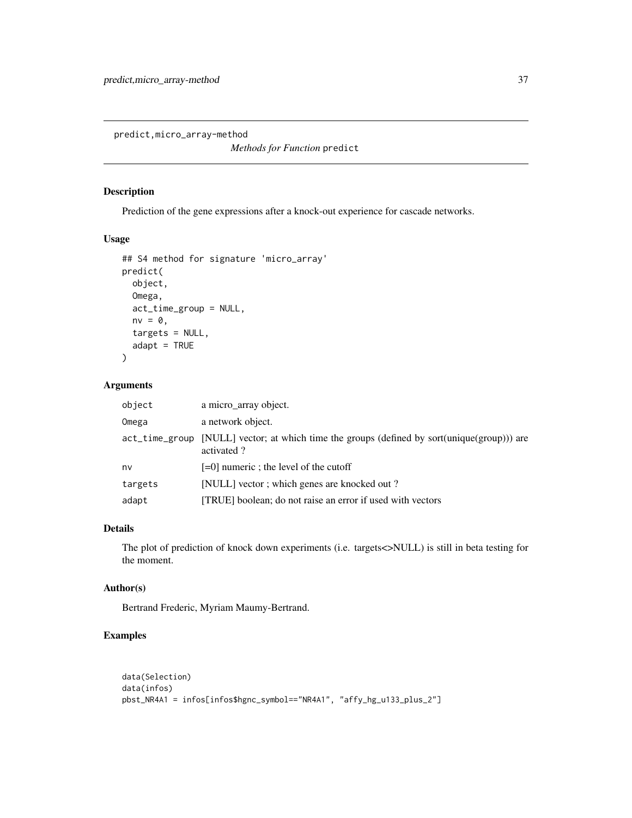<span id="page-36-0"></span>predict,micro\_array-method

*Methods for Function* predict

# Description

Prediction of the gene expressions after a knock-out experience for cascade networks.

#### Usage

```
## S4 method for signature 'micro_array'
predict(
 object,
 Omega,
 act_time_group = NULL,
 nv = 0,
  targets = NULL,
  adapt = TRUE)
```
# Arguments

| object  | a micro_array object.                                                                                     |
|---------|-----------------------------------------------------------------------------------------------------------|
| Omega   | a network object.                                                                                         |
|         | act_time_group [NULL] vector; at which time the groups (defined by sort(unique(group))) are<br>activated? |
| nv      | $[-0]$ numeric; the level of the cutoff                                                                   |
| targets | [NULL] vector ; which genes are knocked out ?                                                             |
| adapt   | [TRUE] boolean; do not raise an error if used with vectors                                                |

# Details

The plot of prediction of knock down experiments (i.e. targets<>NULL) is still in beta testing for the moment.

#### Author(s)

Bertrand Frederic, Myriam Maumy-Bertrand.

```
data(Selection)
data(infos)
pbst_NR4A1 = infos[infos$hgnc_symbol=="NR4A1", "affy_hg_u133_plus_2"]
```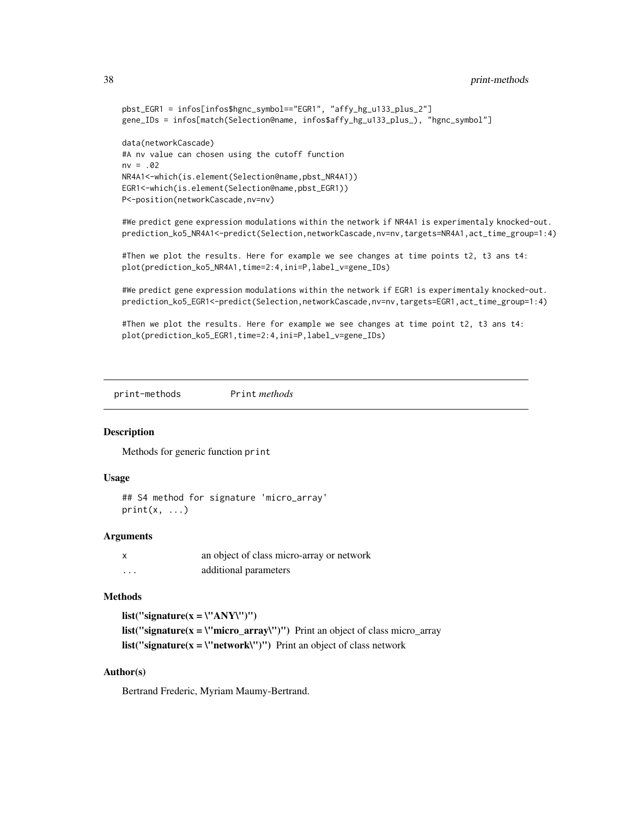```
pbst_EGR1 = infos[infos$hgnc_symbol=="EGR1", "affy_hg_u133_plus_2"]
gene_IDs = infos[match(Selection@name, infos$affy_hg_u133_plus_), "hgnc_symbol"]
data(networkCascade)
#A nv value can chosen using the cutoff function
nv = .02NR4A1<-which(is.element(Selection@name,pbst_NR4A1))
EGR1<-which(is.element(Selection@name,pbst_EGR1))
P<-position(networkCascade,nv=nv)
#We predict gene expression modulations within the network if NR4A1 is experimentaly knocked-out.
prediction_ko5_NR4A1<-predict(Selection,networkCascade,nv=nv,targets=NR4A1,act_time_group=1:4)
#Then we plot the results. Here for example we see changes at time points t2, t3 ans t4:
plot(prediction_ko5_NR4A1,time=2:4,ini=P,label_v=gene_IDs)
```
#We predict gene expression modulations within the network if EGR1 is experimentaly knocked-out. prediction\_ko5\_EGR1<-predict(Selection,networkCascade,nv=nv,targets=EGR1,act\_time\_group=1:4)

#Then we plot the results. Here for example we see changes at time point t2, t3 ans t4: plot(prediction\_ko5\_EGR1,time=2:4,ini=P,label\_v=gene\_IDs)

print-methods Print *methods*

#### Description

Methods for generic function print

#### Usage

```
## S4 method for signature 'micro_array'
print(x, \ldots)
```
#### Arguments

| x | an object of class micro-array or network |
|---|-------------------------------------------|
| . | additional parameters                     |

#### Methods

list("signature(x =  $\Upsilon$ "ANY\")") list("signature( $x = \text{``micro\_array''''''}$ ) Print an object of class micro\_array **list("signature(x = \"network\")")** Print an object of class network

#### Author(s)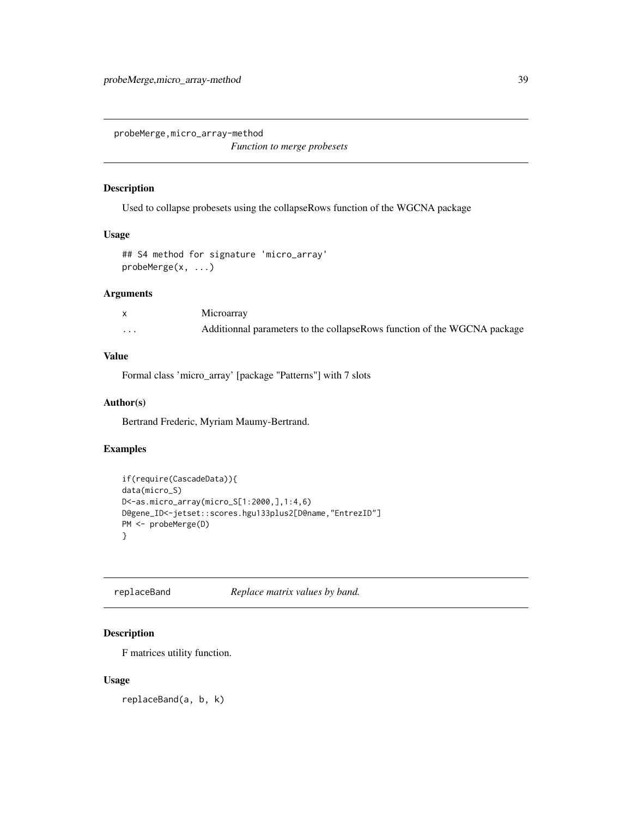<span id="page-38-0"></span>probeMerge,micro\_array-method

*Function to merge probesets*

#### Description

Used to collapse probesets using the collapseRows function of the WGCNA package

#### Usage

```
## S4 method for signature 'micro_array'
probeMerge(x, ...)
```
#### Arguments

|   | Microarray                                                               |
|---|--------------------------------------------------------------------------|
| . | Additionnal parameters to the collapseRows function of the WGCNA package |

#### Value

Formal class 'micro\_array' [package "Patterns"] with 7 slots

#### Author(s)

Bertrand Frederic, Myriam Maumy-Bertrand.

# Examples

```
if(require(CascadeData)){
data(micro_S)
D<-as.micro_array(micro_S[1:2000,],1:4,6)
D@gene_ID<-jetset::scores.hgu133plus2[D@name,"EntrezID"]
PM <- probeMerge(D)
}
```
replaceBand *Replace matrix values by band.*

# Description

F matrices utility function.

#### Usage

replaceBand(a, b, k)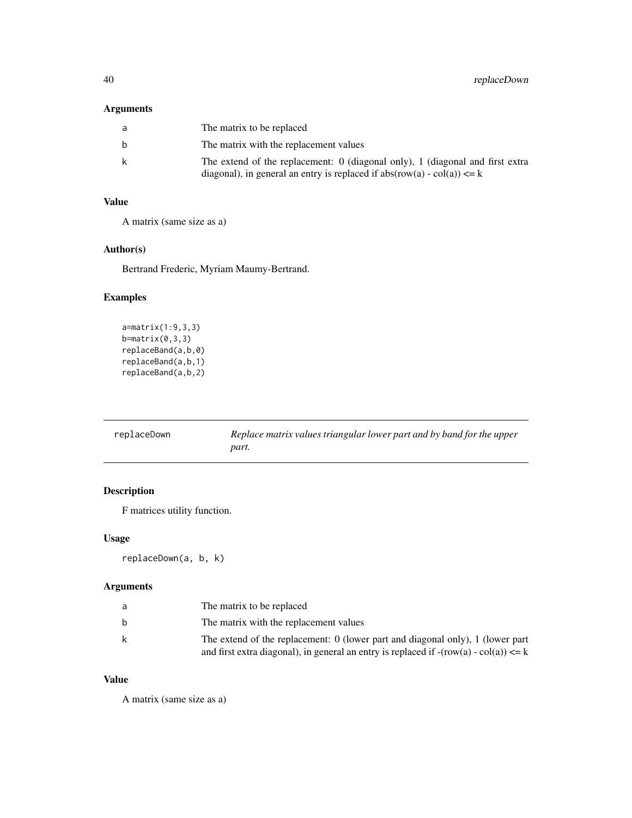# <span id="page-39-0"></span>Arguments

| a | The matrix to be replaced                                                                                                                                   |
|---|-------------------------------------------------------------------------------------------------------------------------------------------------------------|
| b | The matrix with the replacement values                                                                                                                      |
| k | The extend of the replacement: 0 (diagonal only), 1 (diagonal and first extra<br>diagonal), in general an entry is replaced if $abs(row(a) - col(a)) \le k$ |

# Value

A matrix (same size as a)

# Author(s)

Bertrand Frederic, Myriam Maumy-Bertrand.

# Examples

```
a=matrix(1:9,3,3)
b=matrix(0,3,3)replaceBand(a,b,0)
replaceBand(a,b,1)
replaceBand(a,b,2)
```

| replaceDown | Replace matrix values triangular lower part and by band for the upper |
|-------------|-----------------------------------------------------------------------|
|             | part.                                                                 |

# Description

F matrices utility function.

# Usage

```
replaceDown(a, b, k)
```
# Arguments

| a | The matrix to be replaced                                                                                                                                                    |
|---|------------------------------------------------------------------------------------------------------------------------------------------------------------------------------|
| b | The matrix with the replacement values                                                                                                                                       |
| k | The extend of the replacement: $0$ (lower part and diagonal only), 1 (lower part<br>and first extra diagonal), in general an entry is replaced if $-(row(a) - col(a)) \le k$ |

# Value

A matrix (same size as a)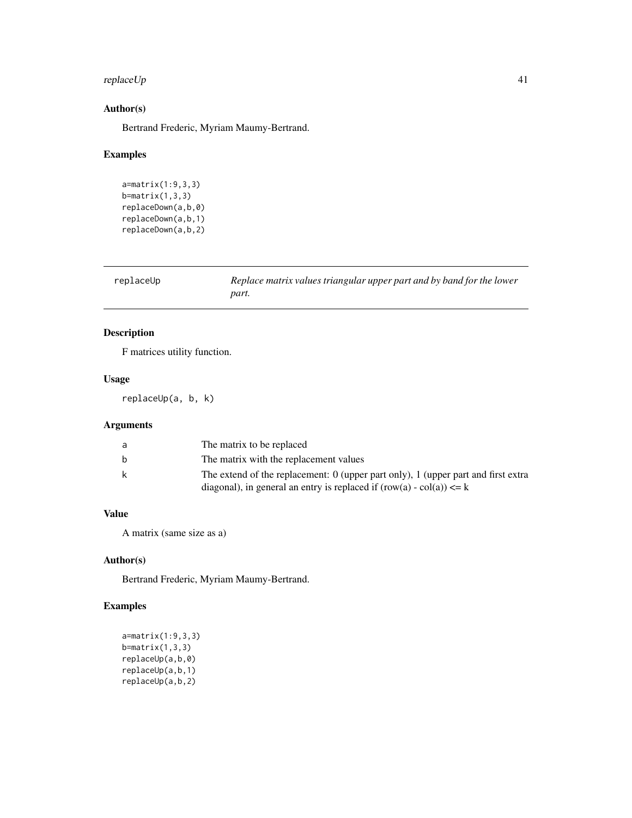# <span id="page-40-0"></span>replaceUp 41

# Author(s)

Bertrand Frederic, Myriam Maumy-Bertrand.

#### Examples

```
a=matrix(1:9,3,3)
b=matrix(1,3,3)replaceDown(a,b,0)
replaceDown(a,b,1)
replaceDown(a,b,2)
```

| replaceUp | Replace matrix values triangular upper part and by band for the lower |
|-----------|-----------------------------------------------------------------------|
|           | part.                                                                 |

# Description

F matrices utility function.

# Usage

replaceUp(a, b, k)

# Arguments

| a | The matrix to be replaced                                                                                                                                    |
|---|--------------------------------------------------------------------------------------------------------------------------------------------------------------|
| b | The matrix with the replacement values                                                                                                                       |
| k | The extend of the replacement: 0 (upper part only), 1 (upper part and first extra<br>diagonal), in general an entry is replaced if $(row(a) - col(a)) \le k$ |

# Value

A matrix (same size as a)

# Author(s)

Bertrand Frederic, Myriam Maumy-Bertrand.

```
a=matrix(1:9,3,3)
b=matrix(1,3,3)
replaceUp(a,b,0)
replaceUp(a,b,1)
replaceUp(a,b,2)
```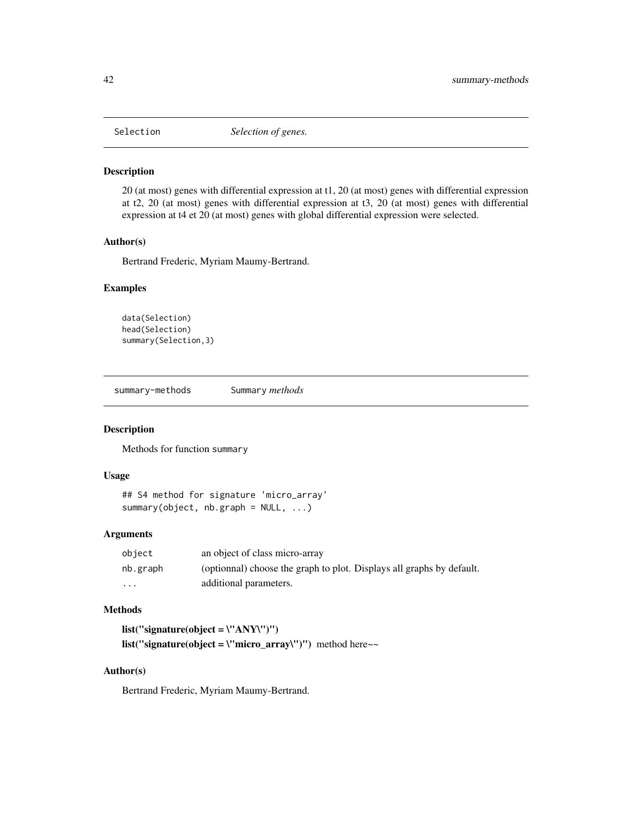<span id="page-41-0"></span>

#### Description

20 (at most) genes with differential expression at t1, 20 (at most) genes with differential expression at t2, 20 (at most) genes with differential expression at t3, 20 (at most) genes with differential expression at t4 et 20 (at most) genes with global differential expression were selected.

#### Author(s)

Bertrand Frederic, Myriam Maumy-Bertrand.

#### Examples

```
data(Selection)
head(Selection)
summary(Selection,3)
```
summary-methods Summary *methods*

#### Description

Methods for function summary

#### Usage

```
## S4 method for signature 'micro_array'
summary(object, nb.graph = NULL, ...)
```
# Arguments

| object   | an object of class micro-array                                        |
|----------|-----------------------------------------------------------------------|
| nb.graph | (optionnal) choose the graph to plot. Displays all graphs by default. |
| $\cdots$ | additional parameters.                                                |

# Methods

list("signature(object =  $\Upsilon$ ANY\")") list("signature(object = \"micro\_array\")") method here~~

# Author(s)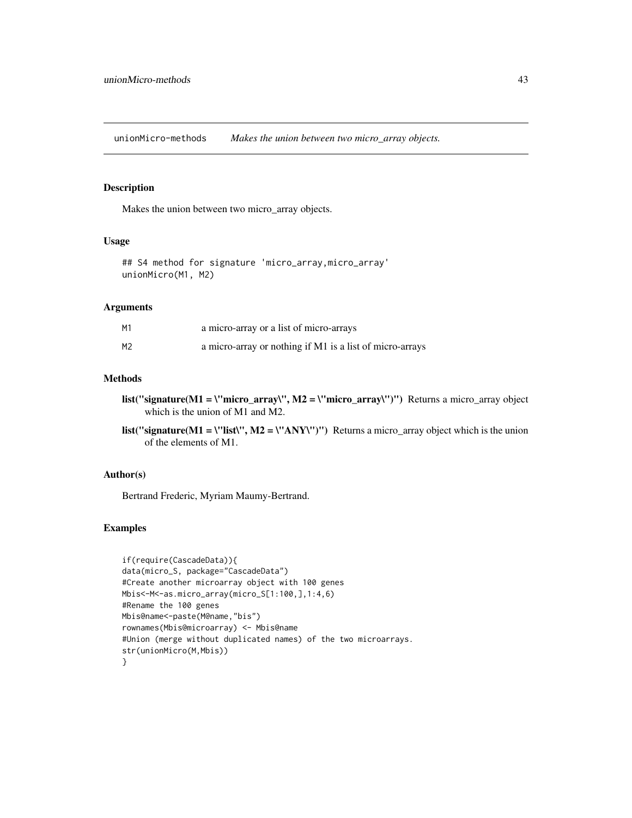<span id="page-42-0"></span>unionMicro-methods *Makes the union between two micro\_array objects.*

# Description

Makes the union between two micro\_array objects.

#### Usage

```
## S4 method for signature 'micro_array,micro_array'
unionMicro(M1, M2)
```
#### Arguments

| М1 | a micro-array or a list of micro-arrays                  |
|----|----------------------------------------------------------|
| М2 | a micro-array or nothing if M1 is a list of micro-arrays |

#### Methods

- list("signature(M1 = \"micro\_array\", M2 = \"micro\_array\")") Returns a micro\_array object which is the union of M1 and M2.
- list("signature(M1 = \"list\", M2 = \"ANY\")") Returns a micro\_array object which is the union of the elements of M1.

#### Author(s)

Bertrand Frederic, Myriam Maumy-Bertrand.

```
if(require(CascadeData)){
data(micro_S, package="CascadeData")
#Create another microarray object with 100 genes
Mbis<-M<-as.micro_array(micro_S[1:100,],1:4,6)
#Rename the 100 genes
Mbis@name<-paste(M@name,"bis")
rownames(Mbis@microarray) <- Mbis@name
#Union (merge without duplicated names) of the two microarrays.
str(unionMicro(M,Mbis))
}
```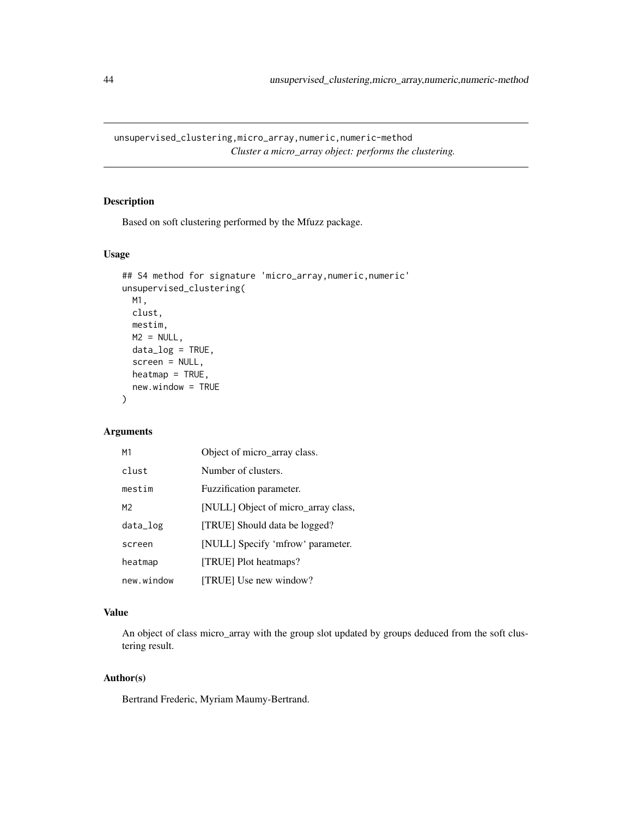<span id="page-43-0"></span>unsupervised\_clustering,micro\_array,numeric,numeric-method *Cluster a micro\_array object: performs the clustering.*

#### Description

Based on soft clustering performed by the Mfuzz package.

# Usage

```
## S4 method for signature 'micro_array, numeric, numeric'
unsupervised_clustering(
 M1,
 clust,
 mestim,
 M2 = NULL,data_log = TRUE,
  screen = NULL,
 heatmap = TRUE,
 new.window = TRUE
)
```
# Arguments

| M1             | Object of micro_array class.        |
|----------------|-------------------------------------|
| clust          | Number of clusters.                 |
| mestim         | Fuzzification parameter.            |
| M <sub>2</sub> | [NULL] Object of micro_array class, |
| data_log       | [TRUE] Should data be logged?       |
| screen         | [NULL] Specify 'mfrow' parameter.   |
| heatmap        | [TRUE] Plot heatmaps?               |
| new.window     | [TRUE] Use new window?              |

# Value

An object of class micro\_array with the group slot updated by groups deduced from the soft clustering result.

#### Author(s)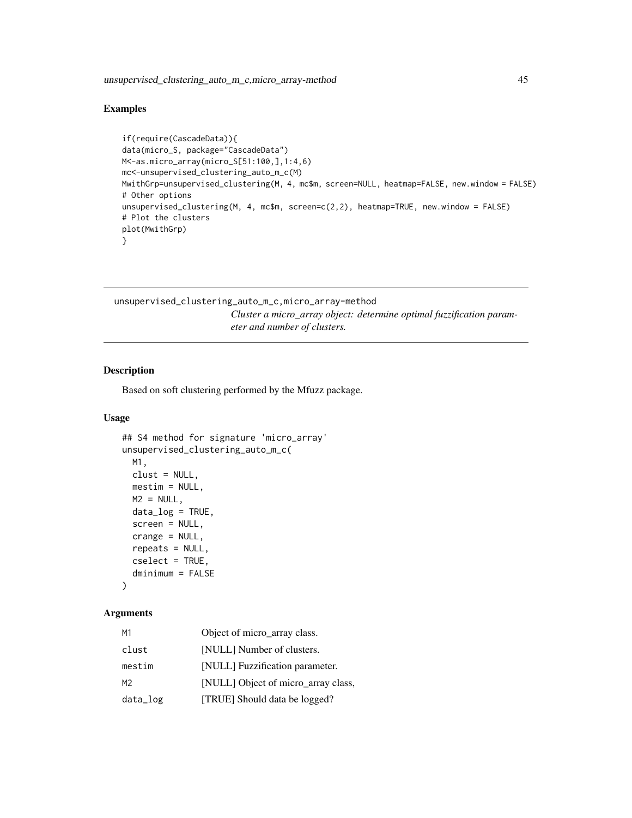# <span id="page-44-0"></span>Examples

```
if(require(CascadeData)){
data(micro_S, package="CascadeData")
M<-as.micro_array(micro_S[51:100,],1:4,6)
mc<-unsupervised_clustering_auto_m_c(M)
MwithGrp=unsupervised_clustering(M, 4, mc$m, screen=NULL, heatmap=FALSE, new.window = FALSE)
# Other options
unsupervised_clustering(M, 4, mc$m, screen=c(2,2), heatmap=TRUE, new.window = FALSE)
# Plot the clusters
plot(MwithGrp)
}
```

```
unsupervised_clustering_auto_m_c,micro_array-method
                         Cluster a micro_array object: determine optimal fuzzification param-
                         eter and number of clusters.
```
#### Description

Based on soft clustering performed by the Mfuzz package.

#### Usage

```
## S4 method for signature 'micro_array'
unsupervised_clustering_auto_m_c(
 M1,
  clust = NULL,
 mestim = NULL,
 M2 = NULL,data_log = TRUE,
  screen = NULL,
  crange = NULL,
  repeats = NULL,
  cselect = TRUE,
  dminimum = FALSE
```
#### )

## Arguments

| M1       | Object of micro_array class.        |
|----------|-------------------------------------|
| clust    | [NULL] Number of clusters.          |
| mestim   | [NULL] Fuzzification parameter.     |
| M2       | [NULL] Object of micro_array class, |
| data_log | [TRUE] Should data be logged?       |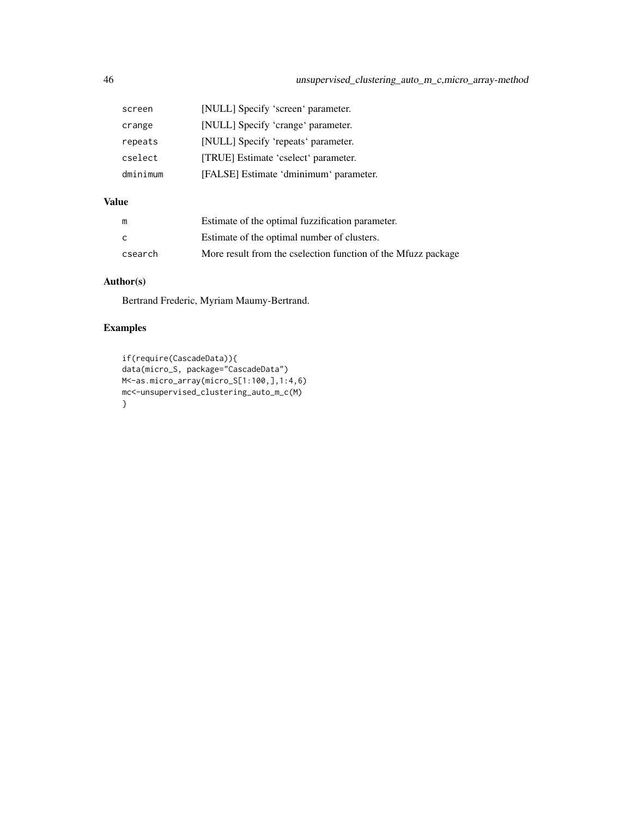| screen   | [NULL] Specify 'screen' parameter.     |
|----------|----------------------------------------|
| crange   | [NULL] Specify 'crange' parameter.     |
| repeats  | [NULL] Specify 'repeats' parameter.    |
| cselect  | [TRUE] Estimate 'cselect' parameter.   |
| dminimum | [FALSE] Estimate 'dminimum' parameter. |

# Value

| m       | Estimate of the optimal fuzzification parameter.              |
|---------|---------------------------------------------------------------|
| C.      | Estimate of the optimal number of clusters.                   |
| csearch | More result from the cselection function of the Mfuzz package |

# Author(s)

Bertrand Frederic, Myriam Maumy-Bertrand.

```
if(require(CascadeData)){
data(micro_S, package="CascadeData")
M<-as.micro_array(micro_S[1:100,],1:4,6)
mc<-unsupervised_clustering_auto_m_c(M)
}
```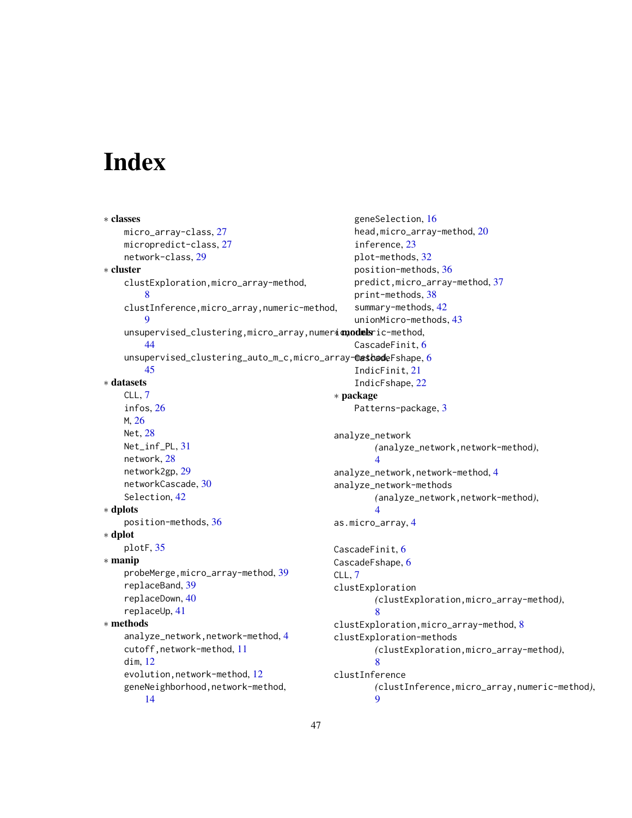# <span id="page-46-0"></span>Index

```
∗ classes
   micro_array-class, 27
   micropredict-class, 27
   network-class, 29
∗ cluster
   clustExploration,micro_array-method,
        8
   clustInference,micro_array,numeric-method,
       9
    unsupervised_clustering,micro_array,numerimpodmeric-method,
       44
    6
       45
∗ datasets
   CLL, 7
   infos, 26
   M, 26
   Net, 28
   Net_inf_PL, 31
   network, 28
   network2gp, 29
   networkCascade, 30
   Selection, 42
∗ dplots
   position-methods, 36
∗ dplot
   plotF, 35
∗ manip
   39
   replaceBand, 39
   replaceDown, 40
   replaceUp, 41
∗ methods
   analyze_network,network-method, 4
   cutoff,network-method, 11
   dim, 12
   12
   geneNeighborhood,network-method,
       14
                                               geneSelection, 16
                                               head,micro_array-method, 20
                                               inference, 23
                                               plot-methods, 32
                                               position-methods, 36
                                               predict,micro_array-method, 37
                                               print-methods, 38
                                               summary-methods, 42
                                               unionMicro-methods, 43
                                               CascadeFinit, 6
                                               IndicFinit, 21
                                               IndicFshape, 22
                                            ∗ package
                                               Patterns-package, 3
                                            analyze_network
                                                   (analyze_network,network-method),
                                                   4
                                            analyze_network,network-method, 4
                                            analyze_network-methods
                                                   (analyze_network,network-method),
                                                   4
                                           as.micro_array, 4
                                           CascadeFinit, 6
                                           CascadeFshape, 6
                                           CLL, 7
                                           clustExploration
                                                   (clustExploration,micro_array-method),
                                                   8
                                           clustExploration,micro_array-method, 8
                                            clustExploration-methods
                                                   (clustExploration,micro_array-method),
                                                   8
                                           clustInference
                                                   (clustInference,micro_array,numeric-method),
                                                   9
```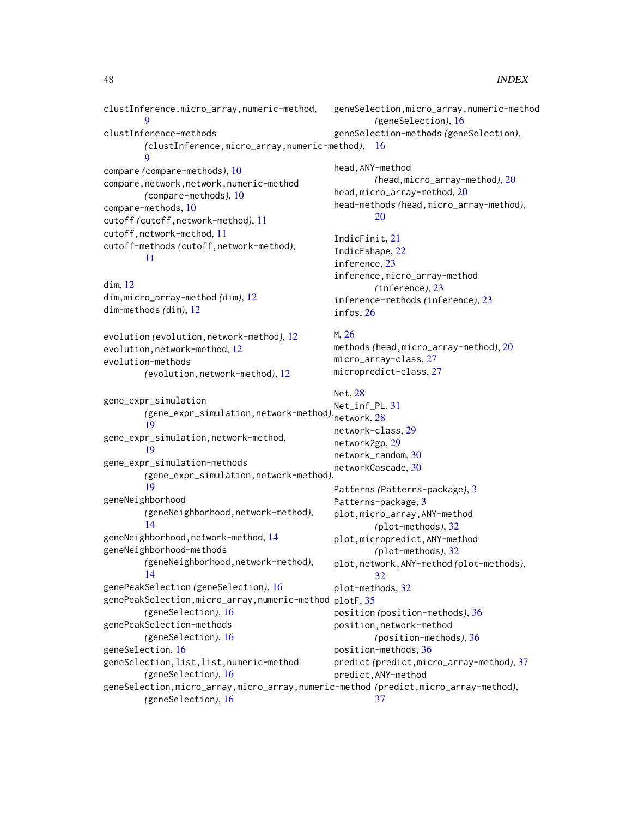clustInference,micro\_array,numeric-method, [9](#page-8-0) clustInference-methods *(*clustInference,micro\_array,numeric-method*)*, [16](#page-15-0)  $\overline{O}$ compare *(*compare-methods*)*, [10](#page-9-0) compare,network,network,numeric-method *(*compare-methods*)*, [10](#page-9-0) compare-methods, [10](#page-9-0) cutoff *(*cutoff,network-method*)*, [11](#page-10-0) cutoff,network-method, [11](#page-10-0) cutoff-methods *(*cutoff,network-method*)*, [11](#page-10-0) dim, [12](#page-11-0) dim,micro\_array-method *(*dim*)*, [12](#page-11-0) dim-methods *(*dim*)*, [12](#page-11-0) evolution *(*evolution,network-method*)*, [12](#page-11-0) evolution,network-method, [12](#page-11-0) evolution-methods *(*evolution,network-method*)*, [12](#page-11-0) gene\_expr\_simulation *(*gene\_expr\_simulation,network-method*)*, network, [28](#page-27-0) [19](#page-18-0) gene\_expr\_simulation,network-method, [19](#page-18-0) gene\_expr\_simulation-methods *(*gene\_expr\_simulation,network-method*)*, [19](#page-18-0) geneNeighborhood *(*geneNeighborhood,network-method*)*, [14](#page-13-0) geneNeighborhood,network-method, [14](#page-13-0) geneNeighborhood-methods *(*geneNeighborhood,network-method*)*, [14](#page-13-0) genePeakSelection *(*geneSelection*)*, [16](#page-15-0) genePeakSelection,micro\_array,numeric-method *(*geneSelection*)*, [16](#page-15-0) genePeakSelection-methods *(*geneSelection*)*, [16](#page-15-0) geneSelection, [16](#page-15-0) geneSelection,list,list,numeric-method *(*geneSelection*)*, [16](#page-15-0) geneSelection,micro\_array,micro\_array,numeric-method *(*predict,micro\_array-method*)*, *(*geneSelection*)*, [16](#page-15-0) geneSelection,micro\_array,numeric-method *(*geneSelection*)*, [16](#page-15-0) geneSelection-methods *(*geneSelection*)*, head,ANY-method *(*head,micro\_array-method*)*, [20](#page-19-0) head,micro\_array-method, [20](#page-19-0) head-methods *(*head,micro\_array-method*)*, [20](#page-19-0) IndicFinit, [21](#page-20-0) IndicFshape, [22](#page-21-0) inference, [23](#page-22-0) inference,micro\_array-method *(*inference*)*, [23](#page-22-0) inference-methods *(*inference*)*, [23](#page-22-0) infos, [26](#page-25-0) M, [26](#page-25-0) methods *(*head,micro\_array-method*)*, [20](#page-19-0) micro\_array-class, [27](#page-26-0) micropredict-class, [27](#page-26-0) Net, [28](#page-27-0) Net\_inf\_PL, [31](#page-30-0) network-class, [29](#page-28-0) network2gp, [29](#page-28-0) network\_random, [30](#page-29-0) networkCascade, [30](#page-29-0) Patterns *(*Patterns-package*)*, [3](#page-2-0) Patterns-package, [3](#page-2-0) plot,micro\_array,ANY-method *(*plot-methods*)*, [32](#page-31-0) plot,micropredict,ANY-method *(*plot-methods*)*, [32](#page-31-0) plot,network,ANY-method *(*plot-methods*)*, [32](#page-31-0) plot-methods, [32](#page-31-0) plotF, [35](#page-34-0) position *(*position-methods*)*, [36](#page-35-0) position,network-method *(*position-methods*)*, [36](#page-35-0) position-methods, [36](#page-35-0) predict *(*predict,micro\_array-method*)*, [37](#page-36-0) predict,ANY-method [37](#page-36-0)